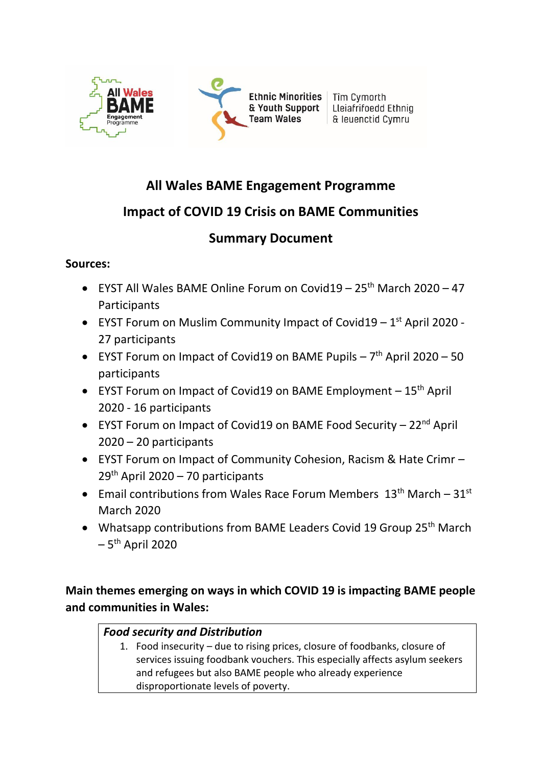

# **All Wales BAME Engagement Programme**

# **Impact of COVID 19 Crisis on BAME Communities**

# **Summary Document**

## **Sources:**

- EYST All Wales BAME Online Forum on Covid19  $25<sup>th</sup>$  March 2020 47 **Participants**
- EYST Forum on Muslim Community Impact of Covid19  $-1<sup>st</sup>$  April 2020 -27 participants
- EYST Forum on Impact of Covid19 on BAME Pupils  $-7<sup>th</sup>$  April 2020 50 participants
- EYST Forum on Impact of Covid19 on BAME Employment  $-15<sup>th</sup>$  April 2020 - 16 participants
- EYST Forum on Impact of Covid19 on BAME Food Security 22<sup>nd</sup> April 2020 – 20 participants
- EYST Forum on Impact of Community Cohesion, Racism & Hate Crimr  $29<sup>th</sup>$  April 2020 – 70 participants
- Email contributions from Wales Race Forum Members  $13<sup>th</sup>$  March  $31<sup>st</sup>$ March 2020
- Whatsapp contributions from BAME Leaders Covid 19 Group 25<sup>th</sup> March – 5<sup>th</sup> April 2020

**Main themes emerging on ways in which COVID 19 is impacting BAME people and communities in Wales:**

# *Food security and Distribution*

1. Food insecurity – due to rising prices, closure of foodbanks, closure of services issuing foodbank vouchers. This especially affects asylum seekers and refugees but also BAME people who already experience disproportionate levels of poverty.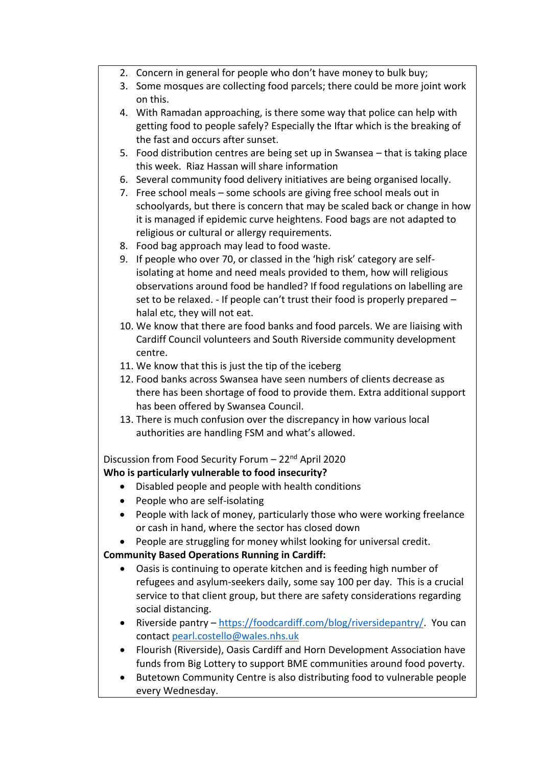- 2. Concern in general for people who don't have money to bulk buy;
- 3. Some mosques are collecting food parcels; there could be more joint work on this.
- 4. With Ramadan approaching, is there some way that police can help with getting food to people safely? Especially the Iftar which is the breaking of the fast and occurs after sunset.
- 5. Food distribution centres are being set up in Swansea that is taking place this week. Riaz Hassan will share information
- 6. Several community food delivery initiatives are being organised locally.
- 7. Free school meals some schools are giving free school meals out in schoolyards, but there is concern that may be scaled back or change in how it is managed if epidemic curve heightens. Food bags are not adapted to religious or cultural or allergy requirements.
- 8. Food bag approach may lead to food waste.
- 9. If people who over 70, or classed in the 'high risk' category are selfisolating at home and need meals provided to them, how will religious observations around food be handled? If food regulations on labelling are set to be relaxed. - If people can't trust their food is properly prepared – halal etc, they will not eat.
- 10. We know that there are food banks and food parcels. We are liaising with Cardiff Council volunteers and South Riverside community development centre.
- 11. We know that this is just the tip of the iceberg
- 12. Food banks across Swansea have seen numbers of clients decrease as there has been shortage of food to provide them. Extra additional support has been offered by Swansea Council.
- 13. There is much confusion over the discrepancy in how various local authorities are handling FSM and what's allowed.

Discussion from Food Security Forum - 22<sup>nd</sup> April 2020 **Who is particularly vulnerable to food insecurity?** 

- Disabled people and people with health conditions
- People who are self-isolating
- People with lack of money, particularly those who were working freelance or cash in hand, where the sector has closed down
- People are struggling for money whilst looking for universal credit.

**Community Based Operations Running in Cardiff:** 

- Oasis is continuing to operate kitchen and is feeding high number of refugees and asylum-seekers daily, some say 100 per day. This is a crucial service to that client group, but there are safety considerations regarding social distancing.
- Riverside pantry [https://foodcardiff.com/blog/riversidepantry/.](https://foodcardiff.com/blog/riversidepantry/) You can contact [pearl.costello@wales.nhs.uk](mailto:pearl.costello@wales.nhs.uk)
- Flourish (Riverside), Oasis Cardiff and Horn Development Association have funds from Big Lottery to support BME communities around food poverty.
- Butetown Community Centre is also distributing food to vulnerable people every Wednesday.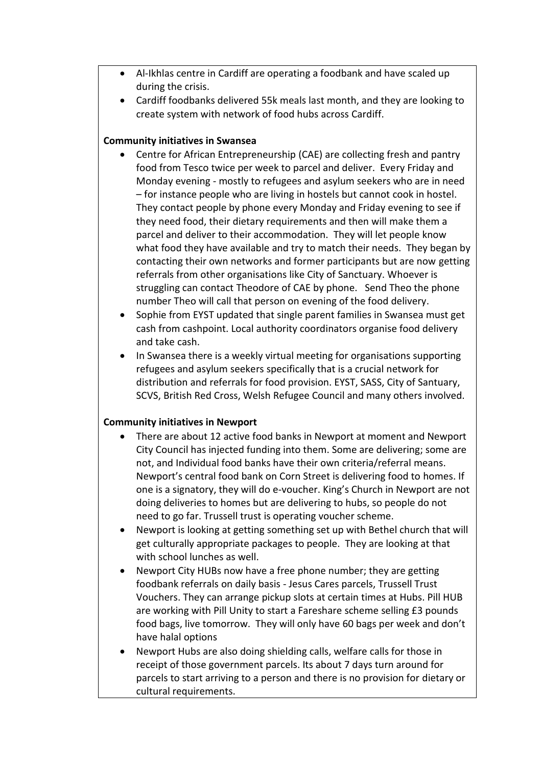- Al-Ikhlas centre in Cardiff are operating a foodbank and have scaled up during the crisis.
- Cardiff foodbanks delivered 55k meals last month, and they are looking to create system with network of food hubs across Cardiff.

#### **Community initiatives in Swansea**

- Centre for African Entrepreneurship (CAE) are collecting fresh and pantry food from Tesco twice per week to parcel and deliver. Every Friday and Monday evening - mostly to refugees and asylum seekers who are in need – for instance people who are living in hostels but cannot cook in hostel. They contact people by phone every Monday and Friday evening to see if they need food, their dietary requirements and then will make them a parcel and deliver to their accommodation. They will let people know what food they have available and try to match their needs. They began by contacting their own networks and former participants but are now getting referrals from other organisations like City of Sanctuary. Whoever is struggling can contact Theodore of CAE by phone. Send Theo the phone number Theo will call that person on evening of the food delivery.
- Sophie from EYST updated that single parent families in Swansea must get cash from cashpoint. Local authority coordinators organise food delivery and take cash.
- In Swansea there is a weekly virtual meeting for organisations supporting refugees and asylum seekers specifically that is a crucial network for distribution and referrals for food provision. EYST, SASS, City of Santuary, SCVS, British Red Cross, Welsh Refugee Council and many others involved.

### **Community initiatives in Newport**

- There are about 12 active food banks in Newport at moment and Newport City Council has injected funding into them. Some are delivering; some are not, and Individual food banks have their own criteria/referral means. Newport's central food bank on Corn Street is delivering food to homes. If one is a signatory, they will do e-voucher. King's Church in Newport are not doing deliveries to homes but are delivering to hubs, so people do not need to go far. Trussell trust is operating voucher scheme.
- Newport is looking at getting something set up with Bethel church that will get culturally appropriate packages to people. They are looking at that with school lunches as well.
- Newport City HUBs now have a free phone number; they are getting foodbank referrals on daily basis - Jesus Cares parcels, Trussell Trust Vouchers. They can arrange pickup slots at certain times at Hubs. Pill HUB are working with Pill Unity to start a Fareshare scheme selling £3 pounds food bags, live tomorrow. They will only have 60 bags per week and don't have halal options
- Newport Hubs are also doing shielding calls, welfare calls for those in receipt of those government parcels. Its about 7 days turn around for parcels to start arriving to a person and there is no provision for dietary or cultural requirements.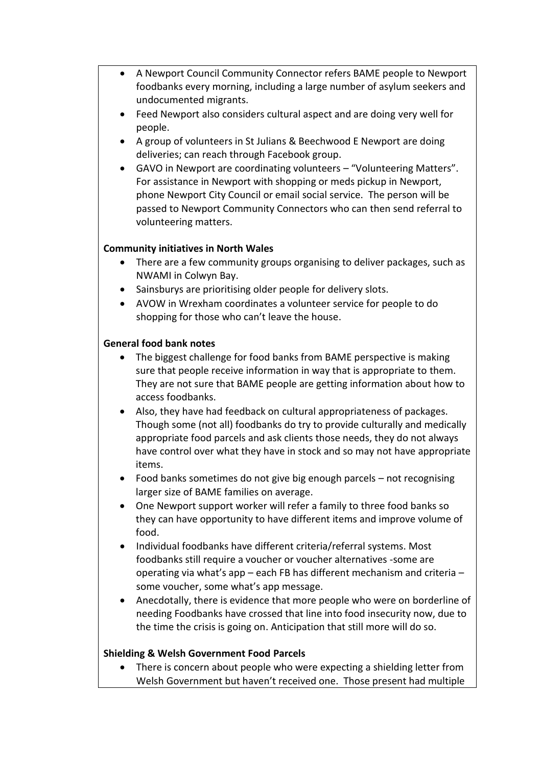- A Newport Council Community Connector refers BAME people to Newport foodbanks every morning, including a large number of asylum seekers and undocumented migrants.
- Feed Newport also considers cultural aspect and are doing very well for people.
- A group of volunteers in St Julians & Beechwood E Newport are doing deliveries; can reach through Facebook group.
- GAVO in Newport are coordinating volunteers "Volunteering Matters". For assistance in Newport with shopping or meds pickup in Newport, phone Newport City Council or email social service. The person will be passed to Newport Community Connectors who can then send referral to volunteering matters.

### **Community initiatives in North Wales**

- There are a few community groups organising to deliver packages, such as NWAMI in Colwyn Bay.
- Sainsburys are prioritising older people for delivery slots.
- AVOW in Wrexham coordinates a volunteer service for people to do shopping for those who can't leave the house.

#### **General food bank notes**

- The biggest challenge for food banks from BAME perspective is making sure that people receive information in way that is appropriate to them. They are not sure that BAME people are getting information about how to access foodbanks.
- Also, they have had feedback on cultural appropriateness of packages. Though some (not all) foodbanks do try to provide culturally and medically appropriate food parcels and ask clients those needs, they do not always have control over what they have in stock and so may not have appropriate items.
- Food banks sometimes do not give big enough parcels not recognising larger size of BAME families on average.
- One Newport support worker will refer a family to three food banks so they can have opportunity to have different items and improve volume of food.
- Individual foodbanks have different criteria/referral systems. Most foodbanks still require a voucher or voucher alternatives -some are operating via what's app – each FB has different mechanism and criteria – some voucher, some what's app message.
- Anecdotally, there is evidence that more people who were on borderline of needing Foodbanks have crossed that line into food insecurity now, due to the time the crisis is going on. Anticipation that still more will do so.

### **Shielding & Welsh Government Food Parcels**

• There is concern about people who were expecting a shielding letter from Welsh Government but haven't received one. Those present had multiple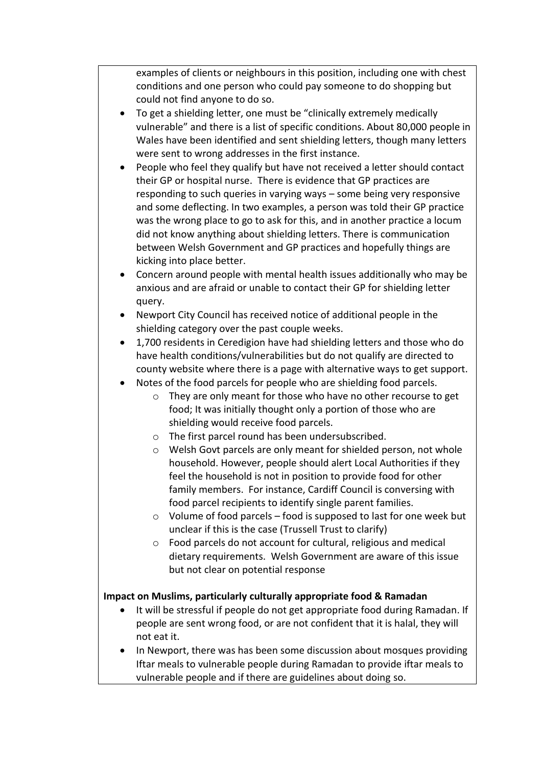examples of clients or neighbours in this position, including one with chest conditions and one person who could pay someone to do shopping but could not find anyone to do so.

- To get a shielding letter, one must be "clinically extremely medically vulnerable" and there is a list of specific conditions. About 80,000 people in Wales have been identified and sent shielding letters, though many letters were sent to wrong addresses in the first instance.
- People who feel they qualify but have not received a letter should contact their GP or hospital nurse. There is evidence that GP practices are responding to such queries in varying ways – some being very responsive and some deflecting. In two examples, a person was told their GP practice was the wrong place to go to ask for this, and in another practice a locum did not know anything about shielding letters. There is communication between Welsh Government and GP practices and hopefully things are kicking into place better.
- Concern around people with mental health issues additionally who may be anxious and are afraid or unable to contact their GP for shielding letter query.
- Newport City Council has received notice of additional people in the shielding category over the past couple weeks.
- 1,700 residents in Ceredigion have had shielding letters and those who do have health conditions/vulnerabilities but do not qualify are directed to county website where there is a page with alternative ways to get support.
- Notes of the food parcels for people who are shielding food parcels.
	- o They are only meant for those who have no other recourse to get food; It was initially thought only a portion of those who are shielding would receive food parcels.
	- o The first parcel round has been undersubscribed.
	- o Welsh Govt parcels are only meant for shielded person, not whole household. However, people should alert Local Authorities if they feel the household is not in position to provide food for other family members. For instance, Cardiff Council is conversing with food parcel recipients to identify single parent families.
	- o Volume of food parcels food is supposed to last for one week but unclear if this is the case (Trussell Trust to clarify)
	- o Food parcels do not account for cultural, religious and medical dietary requirements. Welsh Government are aware of this issue but not clear on potential response

### **Impact on Muslims, particularly culturally appropriate food & Ramadan**

- It will be stressful if people do not get appropriate food during Ramadan. If people are sent wrong food, or are not confident that it is halal, they will not eat it.
- In Newport, there was has been some discussion about mosques providing Iftar meals to vulnerable people during Ramadan to provide iftar meals to vulnerable people and if there are guidelines about doing so.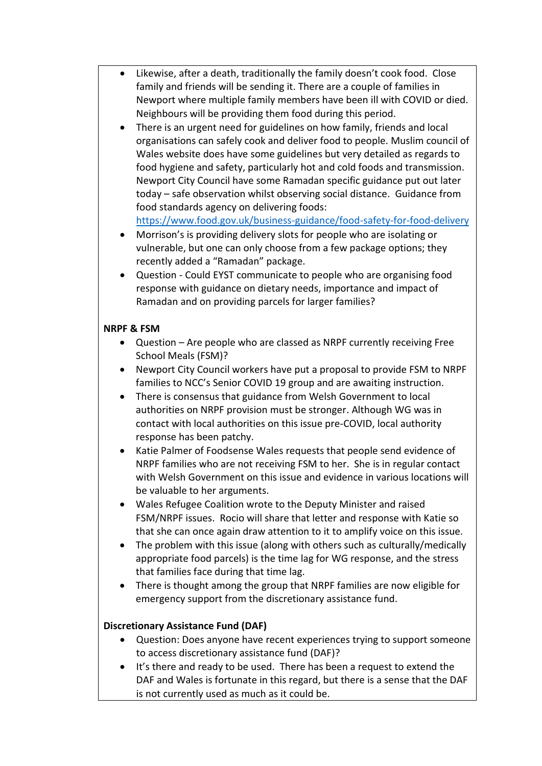- Likewise, after a death, traditionally the family doesn't cook food. Close family and friends will be sending it. There are a couple of families in Newport where multiple family members have been ill with COVID or died. Neighbours will be providing them food during this period.
- There is an urgent need for guidelines on how family, friends and local organisations can safely cook and deliver food to people. Muslim council of Wales website does have some guidelines but very detailed as regards to food hygiene and safety, particularly hot and cold foods and transmission. Newport City Council have some Ramadan specific guidance put out later today – safe observation whilst observing social distance. Guidance from food standards agency on delivering foods:

<https://www.food.gov.uk/business-guidance/food-safety-for-food-delivery>

- Morrison's is providing delivery slots for people who are isolating or vulnerable, but one can only choose from a few package options; they recently added a "Ramadan" package.
- Question Could EYST communicate to people who are organising food response with guidance on dietary needs, importance and impact of Ramadan and on providing parcels for larger families?

### **NRPF & FSM**

- Question Are people who are classed as NRPF currently receiving Free School Meals (FSM)?
- Newport City Council workers have put a proposal to provide FSM to NRPF families to NCC's Senior COVID 19 group and are awaiting instruction.
- There is consensus that guidance from Welsh Government to local authorities on NRPF provision must be stronger. Although WG was in contact with local authorities on this issue pre-COVID, local authority response has been patchy.
- Katie Palmer of Foodsense Wales requests that people send evidence of NRPF families who are not receiving FSM to her. She is in regular contact with Welsh Government on this issue and evidence in various locations will be valuable to her arguments.
- Wales Refugee Coalition wrote to the Deputy Minister and raised FSM/NRPF issues. Rocio will share that letter and response with Katie so that she can once again draw attention to it to amplify voice on this issue.
- The problem with this issue (along with others such as culturally/medically appropriate food parcels) is the time lag for WG response, and the stress that families face during that time lag.
- There is thought among the group that NRPF families are now eligible for emergency support from the discretionary assistance fund.

### **Discretionary Assistance Fund (DAF)**

- Question: Does anyone have recent experiences trying to support someone to access discretionary assistance fund (DAF)?
- It's there and ready to be used. There has been a request to extend the DAF and Wales is fortunate in this regard, but there is a sense that the DAF is not currently used as much as it could be.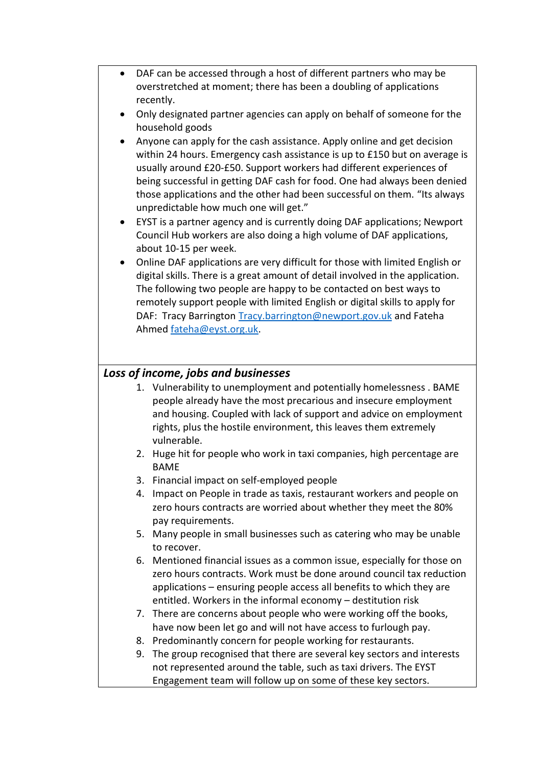- DAF can be accessed through a host of different partners who may be overstretched at moment; there has been a doubling of applications recently.
- Only designated partner agencies can apply on behalf of someone for the household goods
- Anyone can apply for the cash assistance. Apply online and get decision within 24 hours. Emergency cash assistance is up to £150 but on average is usually around £20-£50. Support workers had different experiences of being successful in getting DAF cash for food. One had always been denied those applications and the other had been successful on them. "Its always unpredictable how much one will get."
- EYST is a partner agency and is currently doing DAF applications; Newport Council Hub workers are also doing a high volume of DAF applications, about 10-15 per week.
- Online DAF applications are very difficult for those with limited English or digital skills. There is a great amount of detail involved in the application. The following two people are happy to be contacted on best ways to remotely support people with limited English or digital skills to apply for DAF: Tracy Barrington [Tracy.barrington@newport.gov.uk](mailto:Tracy.barrington@newport.gov.uk) and Fateha Ahmed [fateha@eyst.org.uk.](mailto:fateha@eyst.org.uk)

### *Loss of income, jobs and businesses*

- 1. Vulnerability to unemployment and potentially homelessness . BAME people already have the most precarious and insecure employment and housing. Coupled with lack of support and advice on employment rights, plus the hostile environment, this leaves them extremely vulnerable.
- 2. Huge hit for people who work in taxi companies, high percentage are BAME
- 3. Financial impact on self-employed people
- 4. Impact on People in trade as taxis, restaurant workers and people on zero hours contracts are worried about whether they meet the 80% pay requirements.
- 5. Many people in small businesses such as catering who may be unable to recover.
- 6. Mentioned financial issues as a common issue, especially for those on zero hours contracts. Work must be done around council tax reduction applications – ensuring people access all benefits to which they are entitled. Workers in the informal economy – destitution risk
- 7. There are concerns about people who were working off the books, have now been let go and will not have access to furlough pay.
- 8. Predominantly concern for people working for restaurants.
- 9. The group recognised that there are several key sectors and interests not represented around the table, such as taxi drivers. The EYST Engagement team will follow up on some of these key sectors.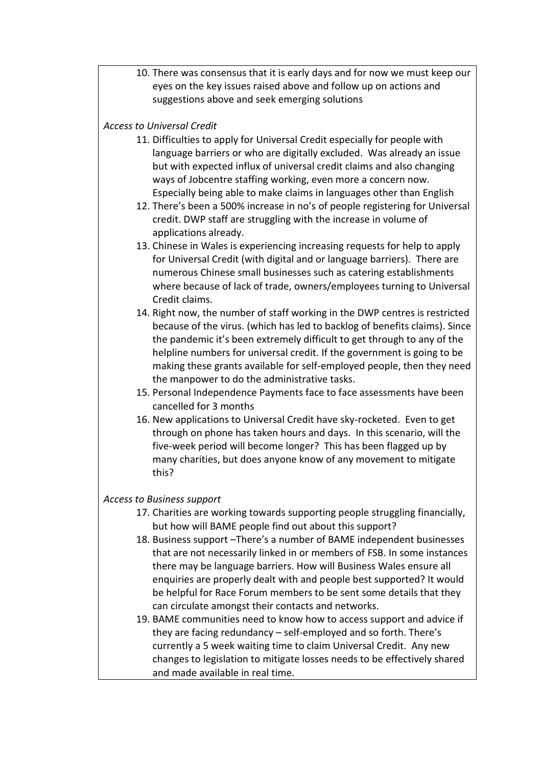10. There was consensus that it is early days and for now we must keep our eyes on the key issues raised above and follow up on actions and suggestions above and seek emerging solutions

#### *Access to Universal Credit*

- 11. Difficulties to apply for Universal Credit especially for people with language barriers or who are digitally excluded. Was already an issue but with expected influx of universal credit claims and also changing ways of Jobcentre staffing working, even more a concern now. Especially being able to make claims in languages other than English
- 12. There's been a 500% increase in no's of people registering for Universal credit. DWP staff are struggling with the increase in volume of applications already.
- 13. Chinese in Wales is experiencing increasing requests for help to apply for Universal Credit (with digital and or language barriers). There are numerous Chinese small businesses such as catering establishments where because of lack of trade, owners/employees turning to Universal Credit claims.
- 14. Right now, the number of staff working in the DWP centres is restricted because of the virus. (which has led to backlog of benefits claims). Since the pandemic it's been extremely difficult to get through to any of the helpline numbers for universal credit. If the government is going to be making these grants available for self-employed people, then they need the manpower to do the administrative tasks.
- 15. Personal Independence Payments face to face assessments have been cancelled for 3 months
- 16. New applications to Universal Credit have sky-rocketed. Even to get through on phone has taken hours and days. In this scenario, will the five-week period will become longer? This has been flagged up by many charities, but does anyone know of any movement to mitigate this?

#### *Access to Business support*

- 17. Charities are working towards supporting people struggling financially, but how will BAME people find out about this support?
- 18. Business support –There's a number of BAME independent businesses that are not necessarily linked in or members of FSB. In some instances there may be language barriers. How will Business Wales ensure all enquiries are properly dealt with and people best supported? It would be helpful for Race Forum members to be sent some details that they can circulate amongst their contacts and networks.
- 19. BAME communities need to know how to access support and advice if they are facing redundancy – self-employed and so forth. There's currently a 5 week waiting time to claim Universal Credit. Any new changes to legislation to mitigate losses needs to be effectively shared and made available in real time.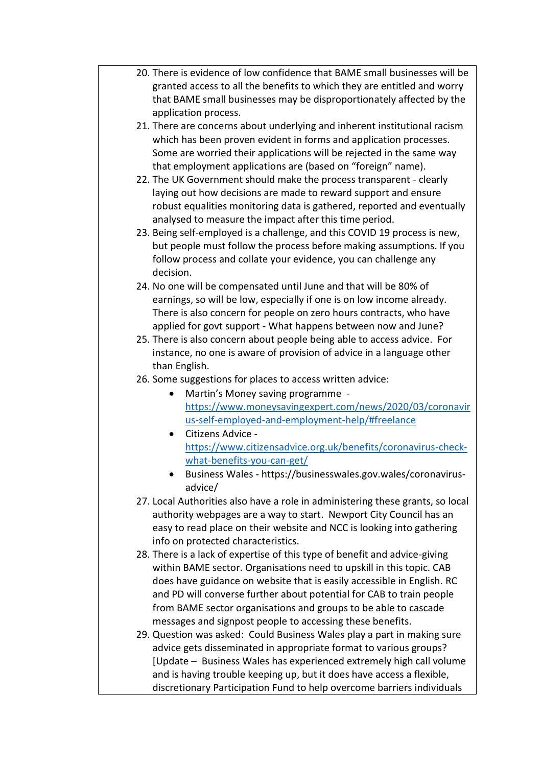- 20. There is evidence of low confidence that BAME small businesses will be granted access to all the benefits to which they are entitled and worry that BAME small businesses may be disproportionately affected by the application process.
- 21. There are concerns about underlying and inherent institutional racism which has been proven evident in forms and application processes. Some are worried their applications will be rejected in the same way that employment applications are (based on "foreign" name).
- 22. The UK Government should make the process transparent clearly laying out how decisions are made to reward support and ensure robust equalities monitoring data is gathered, reported and eventually analysed to measure the impact after this time period.
- 23. Being self-employed is a challenge, and this COVID 19 process is new, but people must follow the process before making assumptions. If you follow process and collate your evidence, you can challenge any decision.
- 24. No one will be compensated until June and that will be 80% of earnings, so will be low, especially if one is on low income already. There is also concern for people on zero hours contracts, who have applied for govt support - What happens between now and June?
- 25. There is also concern about people being able to access advice. For instance, no one is aware of provision of advice in a language other than English.
- 26. Some suggestions for places to access written advice:
	- Martin's Money saving programme [https://www.moneysavingexpert.com/news/2020/03/coronavir](https://www.moneysavingexpert.com/news/2020/03/coronavirus-self-employed-and-employment-help/#freelance) [us-self-employed-and-employment-help/#freelance](https://www.moneysavingexpert.com/news/2020/03/coronavirus-self-employed-and-employment-help/#freelance)
	- Citizens Advice [https://www.citizensadvice.org.uk/benefits/coronavirus-check](https://www.citizensadvice.org.uk/benefits/coronavirus-check-what-benefits-you-can-get/)[what-benefits-you-can-get/](https://www.citizensadvice.org.uk/benefits/coronavirus-check-what-benefits-you-can-get/)
	- Business Wales https://businesswales.gov.wales/coronavirusadvice/
- 27. Local Authorities also have a role in administering these grants, so local authority webpages are a way to start. Newport City Council has an easy to read place on their website and NCC is looking into gathering info on protected characteristics.
- 28. There is a lack of expertise of this type of benefit and advice-giving within BAME sector. Organisations need to upskill in this topic. CAB does have guidance on website that is easily accessible in English. RC and PD will converse further about potential for CAB to train people from BAME sector organisations and groups to be able to cascade messages and signpost people to accessing these benefits.
- 29. Question was asked: Could Business Wales play a part in making sure advice gets disseminated in appropriate format to various groups? [Update – Business Wales has experienced extremely high call volume and is having trouble keeping up, but it does have access a flexible, discretionary Participation Fund to help overcome barriers individuals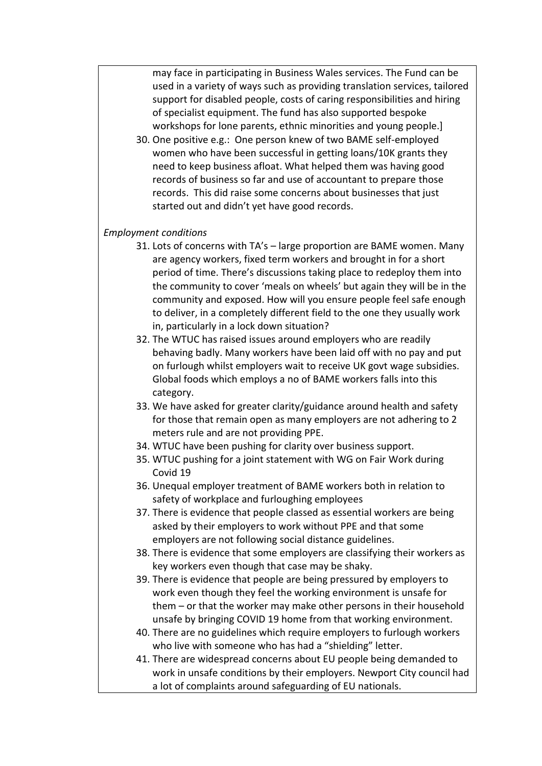may face in participating in Business Wales services. The Fund can be used in a variety of ways such as providing translation services, tailored support for disabled people, costs of caring responsibilities and hiring of specialist equipment. The fund has also supported bespoke workshops for lone parents, ethnic minorities and young people.]

30. One positive e.g.: One person knew of two BAME self-employed women who have been successful in getting loans/10K grants they need to keep business afloat. What helped them was having good records of business so far and use of accountant to prepare those records. This did raise some concerns about businesses that just started out and didn't yet have good records.

#### *Employment conditions*

- 31. Lots of concerns with TA's large proportion are BAME women. Many are agency workers, fixed term workers and brought in for a short period of time. There's discussions taking place to redeploy them into the community to cover 'meals on wheels' but again they will be in the community and exposed. How will you ensure people feel safe enough to deliver, in a completely different field to the one they usually work in, particularly in a lock down situation?
- 32. The WTUC has raised issues around employers who are readily behaving badly. Many workers have been laid off with no pay and put on furlough whilst employers wait to receive UK govt wage subsidies. Global foods which employs a no of BAME workers falls into this category.
- 33. We have asked for greater clarity/guidance around health and safety for those that remain open as many employers are not adhering to 2 meters rule and are not providing PPE.
- 34. WTUC have been pushing for clarity over business support.
- 35. WTUC pushing for a joint statement with WG on Fair Work during Covid 19
- 36. Unequal employer treatment of BAME workers both in relation to safety of workplace and furloughing employees
- 37. There is evidence that people classed as essential workers are being asked by their employers to work without PPE and that some employers are not following social distance guidelines.
- 38. There is evidence that some employers are classifying their workers as key workers even though that case may be shaky.
- 39. There is evidence that people are being pressured by employers to work even though they feel the working environment is unsafe for them – or that the worker may make other persons in their household unsafe by bringing COVID 19 home from that working environment.
- 40. There are no guidelines which require employers to furlough workers who live with someone who has had a "shielding" letter.
- 41. There are widespread concerns about EU people being demanded to work in unsafe conditions by their employers. Newport City council had a lot of complaints around safeguarding of EU nationals.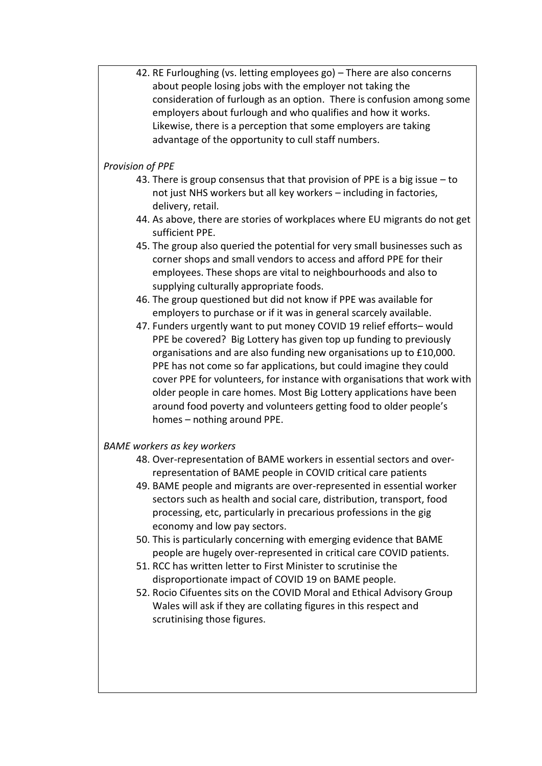42. RE Furloughing (vs. letting employees go) – There are also concerns about people losing jobs with the employer not taking the consideration of furlough as an option. There is confusion among some employers about furlough and who qualifies and how it works. Likewise, there is a perception that some employers are taking advantage of the opportunity to cull staff numbers.

#### *Provision of PPE*

- 43. There is group consensus that that provision of PPE is a big issue to not just NHS workers but all key workers – including in factories, delivery, retail.
- 44. As above, there are stories of workplaces where EU migrants do not get sufficient PPE.
- 45. The group also queried the potential for very small businesses such as corner shops and small vendors to access and afford PPE for their employees. These shops are vital to neighbourhoods and also to supplying culturally appropriate foods.
- 46. The group questioned but did not know if PPE was available for employers to purchase or if it was in general scarcely available.
- 47. Funders urgently want to put money COVID 19 relief efforts– would PPE be covered? Big Lottery has given top up funding to previously organisations and are also funding new organisations up to £10,000. PPE has not come so far applications, but could imagine they could cover PPE for volunteers, for instance with organisations that work with older people in care homes. Most Big Lottery applications have been around food poverty and volunteers getting food to older people's homes – nothing around PPE.

### *BAME workers as key workers*

- 48. Over-representation of BAME workers in essential sectors and overrepresentation of BAME people in COVID critical care patients
- 49. BAME people and migrants are over-represented in essential worker sectors such as health and social care, distribution, transport, food processing, etc, particularly in precarious professions in the gig economy and low pay sectors.
- 50. This is particularly concerning with emerging evidence that BAME people are hugely over-represented in critical care COVID patients.
- 51. RCC has written letter to First Minister to scrutinise the disproportionate impact of COVID 19 on BAME people.
- 52. Rocio Cifuentes sits on the COVID Moral and Ethical Advisory Group Wales will ask if they are collating figures in this respect and scrutinising those figures.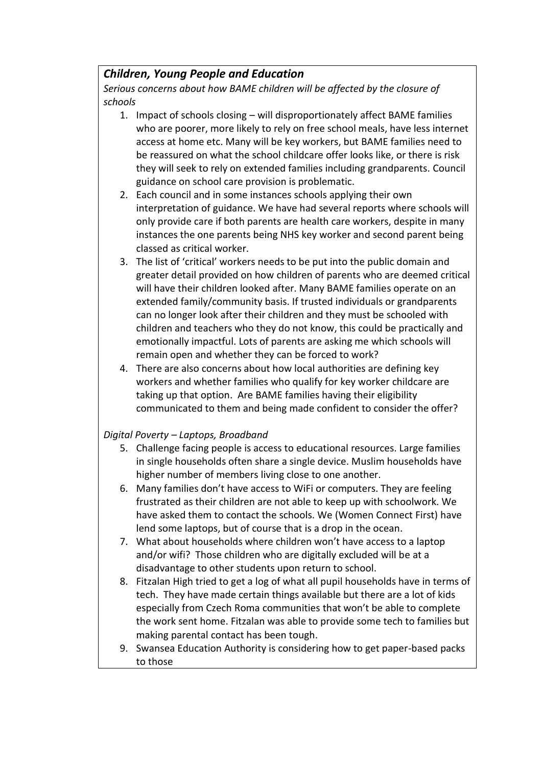### *Children, Young People and Education*

*Serious concerns about how BAME children will be affected by the closure of schools*

- 1. Impact of schools closing will disproportionately affect BAME families who are poorer, more likely to rely on free school meals, have less internet access at home etc. Many will be key workers, but BAME families need to be reassured on what the school childcare offer looks like, or there is risk they will seek to rely on extended families including grandparents. Council guidance on school care provision is problematic.
- 2. Each council and in some instances schools applying their own interpretation of guidance. We have had several reports where schools will only provide care if both parents are health care workers, despite in many instances the one parents being NHS key worker and second parent being classed as critical worker.
- 3. The list of 'critical' workers needs to be put into the public domain and greater detail provided on how children of parents who are deemed critical will have their children looked after. Many BAME families operate on an extended family/community basis. If trusted individuals or grandparents can no longer look after their children and they must be schooled with children and teachers who they do not know, this could be practically and emotionally impactful. Lots of parents are asking me which schools will remain open and whether they can be forced to work?
- 4. There are also concerns about how local authorities are defining key workers and whether families who qualify for key worker childcare are taking up that option. Are BAME families having their eligibility communicated to them and being made confident to consider the offer?

### *Digital Poverty – Laptops, Broadband*

- 5. Challenge facing people is access to educational resources. Large families in single households often share a single device. Muslim households have higher number of members living close to one another.
- 6. Many families don't have access to WiFi or computers. They are feeling frustrated as their children are not able to keep up with schoolwork. We have asked them to contact the schools. We (Women Connect First) have lend some laptops, but of course that is a drop in the ocean.
- 7. What about households where children won't have access to a laptop and/or wifi? Those children who are digitally excluded will be at a disadvantage to other students upon return to school.
- 8. Fitzalan High tried to get a log of what all pupil households have in terms of tech. They have made certain things available but there are a lot of kids especially from Czech Roma communities that won't be able to complete the work sent home. Fitzalan was able to provide some tech to families but making parental contact has been tough.
- 9. Swansea Education Authority is considering how to get paper-based packs to those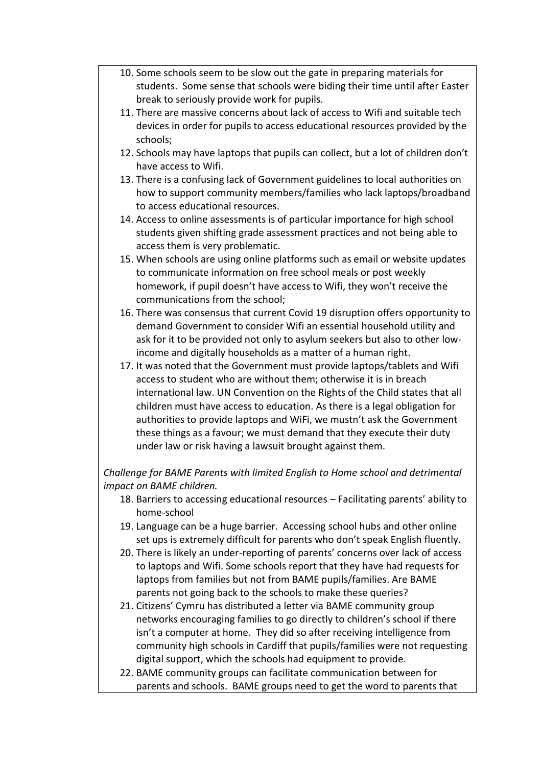- 10. Some schools seem to be slow out the gate in preparing materials for students. Some sense that schools were biding their time until after Easter break to seriously provide work for pupils.
- 11. There are massive concerns about lack of access to Wifi and suitable tech devices in order for pupils to access educational resources provided by the schools;
- 12. Schools may have laptops that pupils can collect, but a lot of children don't have access to Wifi.
- 13. There is a confusing lack of Government guidelines to local authorities on how to support community members/families who lack laptops/broadband to access educational resources.
- 14. Access to online assessments is of particular importance for high school students given shifting grade assessment practices and not being able to access them is very problematic.
- 15. When schools are using online platforms such as email or website updates to communicate information on free school meals or post weekly homework, if pupil doesn't have access to Wifi, they won't receive the communications from the school;
- 16. There was consensus that current Covid 19 disruption offers opportunity to demand Government to consider Wifi an essential household utility and ask for it to be provided not only to asylum seekers but also to other lowincome and digitally households as a matter of a human right.
- 17. It was noted that the Government must provide laptops/tablets and Wifi access to student who are without them; otherwise it is in breach international law. UN Convention on the Rights of the Child states that all children must have access to education. As there is a legal obligation for authorities to provide laptops and WiFi, we mustn't ask the Government these things as a favour; we must demand that they execute their duty under law or risk having a lawsuit brought against them.

### *Challenge for BAME Parents with limited English to Home school and detrimental impact on BAME children.*

- 18. Barriers to accessing educational resources Facilitating parents' ability to home-school
- 19. Language can be a huge barrier. Accessing school hubs and other online set ups is extremely difficult for parents who don't speak English fluently.
- 20. There is likely an under-reporting of parents' concerns over lack of access to laptops and Wifi. Some schools report that they have had requests for laptops from families but not from BAME pupils/families. Are BAME parents not going back to the schools to make these queries?
- 21. Citizens' Cymru has distributed a letter via BAME community group networks encouraging families to go directly to children's school if there isn't a computer at home. They did so after receiving intelligence from community high schools in Cardiff that pupils/families were not requesting digital support, which the schools had equipment to provide.
- 22. BAME community groups can facilitate communication between for parents and schools. BAME groups need to get the word to parents that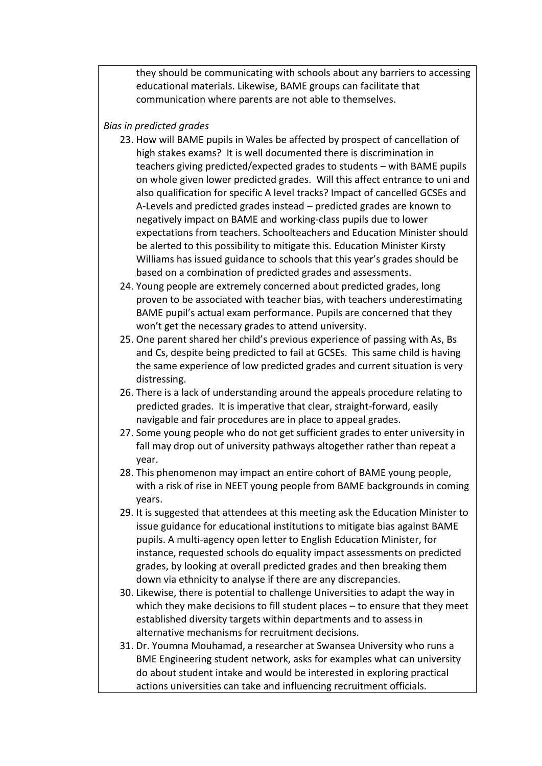they should be communicating with schools about any barriers to accessing educational materials. Likewise, BAME groups can facilitate that communication where parents are not able to themselves.

#### *Bias in predicted grades*

- 23. How will BAME pupils in Wales be affected by prospect of cancellation of high stakes exams? It is well documented there is discrimination in teachers giving predicted/expected grades to students – with BAME pupils on whole given lower predicted grades. Will this affect entrance to uni and also qualification for specific A level tracks? Impact of cancelled GCSEs and A-Levels and predicted grades instead – predicted grades are known to negatively impact on BAME and working-class pupils due to lower expectations from teachers. Schoolteachers and Education Minister should be alerted to this possibility to mitigate this. Education Minister Kirsty Williams has issued guidance to schools that this year's grades should be based on a combination of predicted grades and assessments.
- 24. Young people are extremely concerned about predicted grades, long proven to be associated with teacher bias, with teachers underestimating BAME pupil's actual exam performance. Pupils are concerned that they won't get the necessary grades to attend university.
- 25. One parent shared her child's previous experience of passing with As, Bs and Cs, despite being predicted to fail at GCSEs. This same child is having the same experience of low predicted grades and current situation is very distressing.
- 26. There is a lack of understanding around the appeals procedure relating to predicted grades. It is imperative that clear, straight-forward, easily navigable and fair procedures are in place to appeal grades.
- 27. Some young people who do not get sufficient grades to enter university in fall may drop out of university pathways altogether rather than repeat a year.
- 28. This phenomenon may impact an entire cohort of BAME young people, with a risk of rise in NEET young people from BAME backgrounds in coming years.
- 29. It is suggested that attendees at this meeting ask the Education Minister to issue guidance for educational institutions to mitigate bias against BAME pupils. A multi-agency open letter to English Education Minister, for instance, requested schools do equality impact assessments on predicted grades, by looking at overall predicted grades and then breaking them down via ethnicity to analyse if there are any discrepancies.
- 30. Likewise, there is potential to challenge Universities to adapt the way in which they make decisions to fill student places – to ensure that they meet established diversity targets within departments and to assess in alternative mechanisms for recruitment decisions.
- 31. Dr. Youmna Mouhamad, a researcher at Swansea University who runs a BME Engineering student network, asks for examples what can university do about student intake and would be interested in exploring practical actions universities can take and influencing recruitment officials.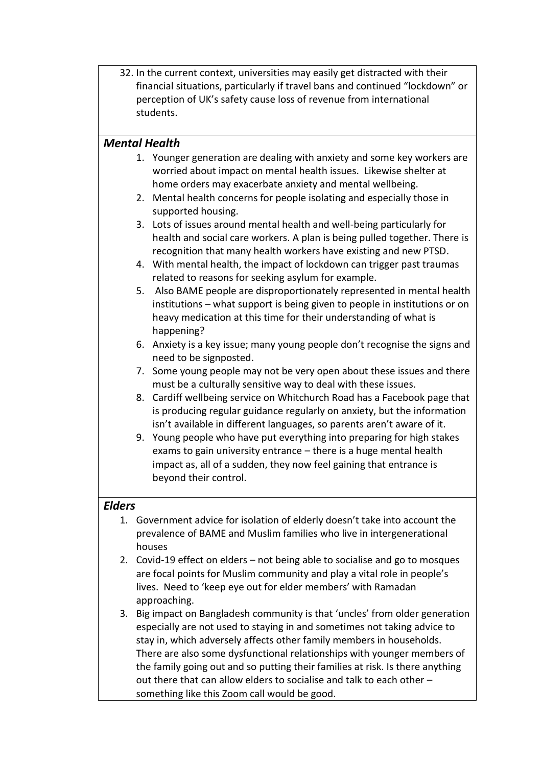32. In the current context, universities may easily get distracted with their financial situations, particularly if travel bans and continued "lockdown" or perception of UK's safety cause loss of revenue from international students.

### *Mental Health*

- 1. Younger generation are dealing with anxiety and some key workers are worried about impact on mental health issues. Likewise shelter at home orders may exacerbate anxiety and mental wellbeing.
- 2. Mental health concerns for people isolating and especially those in supported housing.
- 3. Lots of issues around mental health and well-being particularly for health and social care workers. A plan is being pulled together. There is recognition that many health workers have existing and new PTSD.
- 4. With mental health, the impact of lockdown can trigger past traumas related to reasons for seeking asylum for example.
- 5. Also BAME people are disproportionately represented in mental health institutions – what support is being given to people in institutions or on heavy medication at this time for their understanding of what is happening?
- 6. Anxiety is a key issue; many young people don't recognise the signs and need to be signposted.
- 7. Some young people may not be very open about these issues and there must be a culturally sensitive way to deal with these issues.
- 8. Cardiff wellbeing service on Whitchurch Road has a Facebook page that is producing regular guidance regularly on anxiety, but the information isn't available in different languages, so parents aren't aware of it.
- 9. Young people who have put everything into preparing for high stakes exams to gain university entrance – there is a huge mental health impact as, all of a sudden, they now feel gaining that entrance is beyond their control.

### *Elders*

- 1. Government advice for isolation of elderly doesn't take into account the prevalence of BAME and Muslim families who live in intergenerational houses
- 2. Covid-19 effect on elders not being able to socialise and go to mosques are focal points for Muslim community and play a vital role in people's lives. Need to 'keep eye out for elder members' with Ramadan approaching.
- 3. Big impact on Bangladesh community is that 'uncles' from older generation especially are not used to staying in and sometimes not taking advice to stay in, which adversely affects other family members in households. There are also some dysfunctional relationships with younger members of the family going out and so putting their families at risk. Is there anything out there that can allow elders to socialise and talk to each other – something like this Zoom call would be good.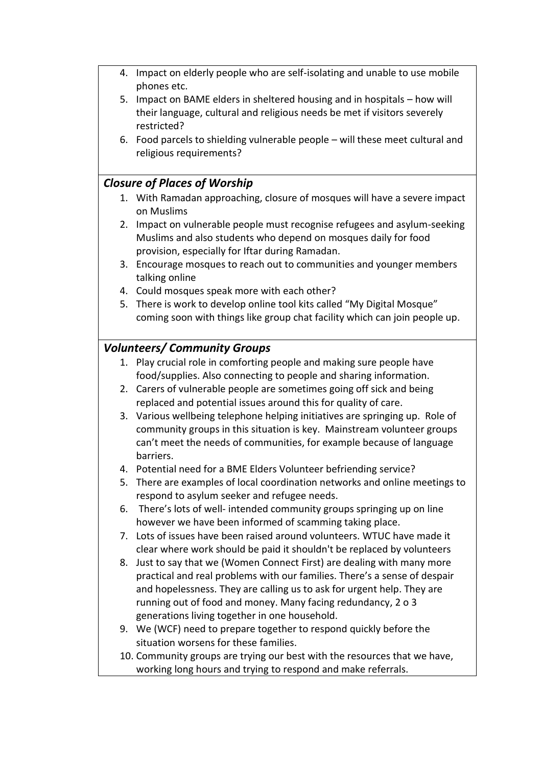- 4. Impact on elderly people who are self-isolating and unable to use mobile phones etc.
- 5. Impact on BAME elders in sheltered housing and in hospitals how will their language, cultural and religious needs be met if visitors severely restricted?
- 6. Food parcels to shielding vulnerable people will these meet cultural and religious requirements?

### *Closure of Places of Worship*

- 1. With Ramadan approaching, closure of mosques will have a severe impact on Muslims
- 2. Impact on vulnerable people must recognise refugees and asylum-seeking Muslims and also students who depend on mosques daily for food provision, especially for Iftar during Ramadan.
- 3. Encourage mosques to reach out to communities and younger members talking online
- 4. Could mosques speak more with each other?
- 5. There is work to develop online tool kits called "My Digital Mosque" coming soon with things like group chat facility which can join people up.

### *Volunteers/ Community Groups*

- 1. Play crucial role in comforting people and making sure people have food/supplies. Also connecting to people and sharing information.
- 2. Carers of vulnerable people are sometimes going off sick and being replaced and potential issues around this for quality of care.
- 3. Various wellbeing telephone helping initiatives are springing up. Role of community groups in this situation is key. Mainstream volunteer groups can't meet the needs of communities, for example because of language barriers.
- 4. Potential need for a BME Elders Volunteer befriending service?
- 5. There are examples of local coordination networks and online meetings to respond to asylum seeker and refugee needs.
- 6. There's lots of well- intended community groups springing up on line however we have been informed of scamming taking place.
- 7. Lots of issues have been raised around volunteers. WTUC have made it clear where work should be paid it shouldn't be replaced by volunteers
- 8. Just to say that we (Women Connect First) are dealing with many more practical and real problems with our families. There's a sense of despair and hopelessness. They are calling us to ask for urgent help. They are running out of food and money. Many facing redundancy, 2 o 3 generations living together in one household.
- 9. We (WCF) need to prepare together to respond quickly before the situation worsens for these families.
- 10. Community groups are trying our best with the resources that we have, working long hours and trying to respond and make referrals.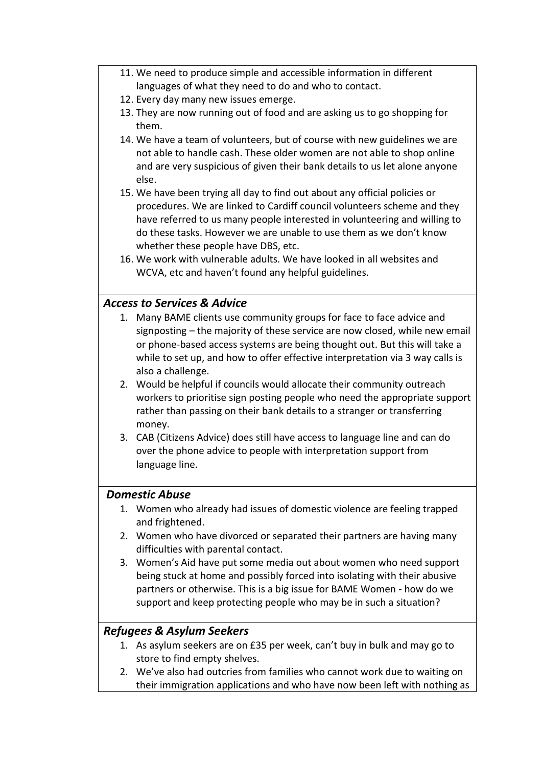- 11. We need to produce simple and accessible information in different languages of what they need to do and who to contact.
- 12. Every day many new issues emerge.
- 13. They are now running out of food and are asking us to go shopping for them.
- 14. We have a team of volunteers, but of course with new guidelines we are not able to handle cash. These older women are not able to shop online and are very suspicious of given their bank details to us let alone anyone else.
- 15. We have been trying all day to find out about any official policies or procedures. We are linked to Cardiff council volunteers scheme and they have referred to us many people interested in volunteering and willing to do these tasks. However we are unable to use them as we don't know whether these people have DBS, etc.
- 16. We work with vulnerable adults. We have looked in all websites and WCVA, etc and haven't found any helpful guidelines.

### *Access to Services & Advice*

- 1. Many BAME clients use community groups for face to face advice and signposting – the majority of these service are now closed, while new email or phone-based access systems are being thought out. But this will take a while to set up, and how to offer effective interpretation via 3 way calls is also a challenge.
- 2. Would be helpful if councils would allocate their community outreach workers to prioritise sign posting people who need the appropriate support rather than passing on their bank details to a stranger or transferring money.
- 3. CAB (Citizens Advice) does still have access to language line and can do over the phone advice to people with interpretation support from language line.

### *Domestic Abuse*

- 1. Women who already had issues of domestic violence are feeling trapped and frightened.
- 2. Women who have divorced or separated their partners are having many difficulties with parental contact.
- 3. Women's Aid have put some media out about women who need support being stuck at home and possibly forced into isolating with their abusive partners or otherwise. This is a big issue for BAME Women - how do we support and keep protecting people who may be in such a situation?

### *Refugees & Asylum Seekers*

- 1. As asylum seekers are on £35 per week, can't buy in bulk and may go to store to find empty shelves.
- 2. We've also had outcries from families who cannot work due to waiting on their immigration applications and who have now been left with nothing as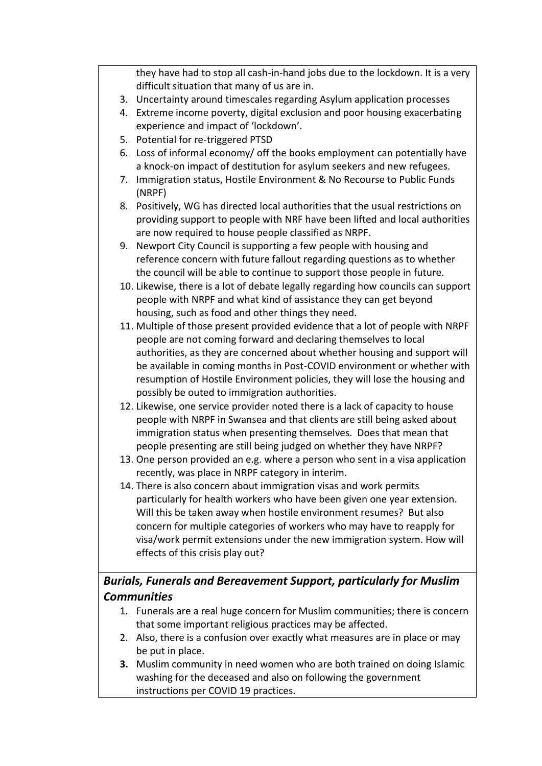they have had to stop all cash-in-hand jobs due to the lockdown. It is a very difficult situation that many of us are in.

- 3. Uncertainty around timescales regarding Asylum application processes
- 4. Extreme income poverty, digital exclusion and poor housing exacerbating experience and impact of 'lockdown'.
- 5. Potential for re-triggered PTSD
- 6. Loss of informal economy/ off the books employment can potentially have a knock-on impact of destitution for asylum seekers and new refugees.
- 7. Immigration status, Hostile Environment & No Recourse to Public Funds (NRPF)
- 8. Positively, WG has directed local authorities that the usual restrictions on providing support to people with NRF have been lifted and local authorities are now required to house people classified as NRPF.
- 9. Newport City Council is supporting a few people with housing and reference concern with future fallout regarding questions as to whether the council will be able to continue to support those people in future.
- 10. Likewise, there is a lot of debate legally regarding how councils can support people with NRPF and what kind of assistance they can get beyond housing, such as food and other things they need.
- 11. Multiple of those present provided evidence that a lot of people with NRPF people are not coming forward and declaring themselves to local authorities, as they are concerned about whether housing and support will be available in coming months in Post-COVID environment or whether with resumption of Hostile Environment policies, they will lose the housing and possibly be outed to immigration authorities.
- 12. Likewise, one service provider noted there is a lack of capacity to house people with NRPF in Swansea and that clients are still being asked about immigration status when presenting themselves. Does that mean that people presenting are still being judged on whether they have NRPF?
- 13. One person provided an e.g. where a person who sent in a visa application recently, was place in NRPF category in interim.
- 14. There is also concern about immigration visas and work permits particularly for health workers who have been given one year extension. Will this be taken away when hostile environment resumes? But also concern for multiple categories of workers who may have to reapply for visa/work permit extensions under the new immigration system. How will effects of this crisis play out?

# *Burials, Funerals and Bereavement Support, particularly for Muslim Communities*

- 1. Funerals are a real huge concern for Muslim communities; there is concern that some important religious practices may be affected.
- 2. Also, there is a confusion over exactly what measures are in place or may be put in place.
- **3.** Muslim community in need women who are both trained on doing Islamic washing for the deceased and also on following the government instructions per COVID 19 practices.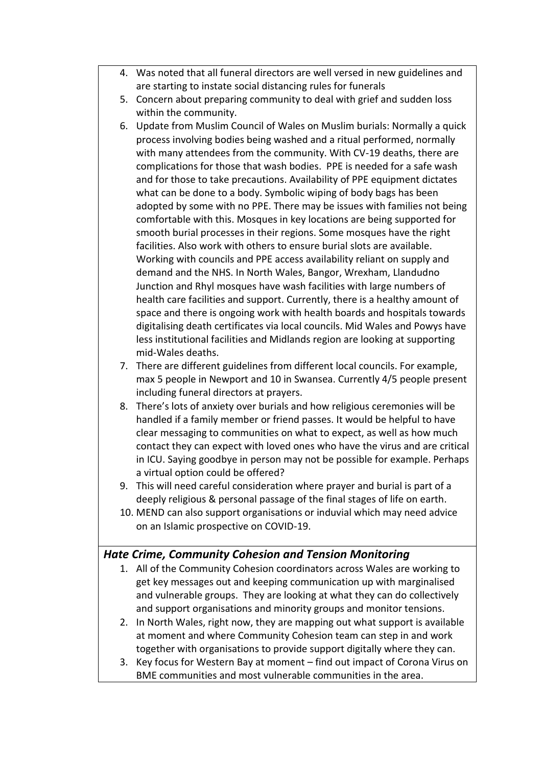- 4. Was noted that all funeral directors are well versed in new guidelines and are starting to instate social distancing rules for funerals
- 5. Concern about preparing community to deal with grief and sudden loss within the community.
- 6. Update from Muslim Council of Wales on Muslim burials: Normally a quick process involving bodies being washed and a ritual performed, normally with many attendees from the community. With CV-19 deaths, there are complications for those that wash bodies. PPE is needed for a safe wash and for those to take precautions. Availability of PPE equipment dictates what can be done to a body. Symbolic wiping of body bags has been adopted by some with no PPE. There may be issues with families not being comfortable with this. Mosques in key locations are being supported for smooth burial processes in their regions. Some mosques have the right facilities. Also work with others to ensure burial slots are available. Working with councils and PPE access availability reliant on supply and demand and the NHS. In North Wales, Bangor, Wrexham, Llandudno Junction and Rhyl mosques have wash facilities with large numbers of health care facilities and support. Currently, there is a healthy amount of space and there is ongoing work with health boards and hospitals towards digitalising death certificates via local councils. Mid Wales and Powys have less institutional facilities and Midlands region are looking at supporting mid-Wales deaths.
- 7. There are different guidelines from different local councils. For example, max 5 people in Newport and 10 in Swansea. Currently 4/5 people present including funeral directors at prayers.
- 8. There's lots of anxiety over burials and how religious ceremonies will be handled if a family member or friend passes. It would be helpful to have clear messaging to communities on what to expect, as well as how much contact they can expect with loved ones who have the virus and are critical in ICU. Saying goodbye in person may not be possible for example. Perhaps a virtual option could be offered?
- 9. This will need careful consideration where prayer and burial is part of a deeply religious & personal passage of the final stages of life on earth.
- 10. MEND can also support organisations or induvial which may need advice on an Islamic prospective on COVID-19.

### *Hate Crime, Community Cohesion and Tension Monitoring*

- 1. All of the Community Cohesion coordinators across Wales are working to get key messages out and keeping communication up with marginalised and vulnerable groups. They are looking at what they can do collectively and support organisations and minority groups and monitor tensions.
- 2. In North Wales, right now, they are mapping out what support is available at moment and where Community Cohesion team can step in and work together with organisations to provide support digitally where they can.
- 3. Key focus for Western Bay at moment find out impact of Corona Virus on BME communities and most vulnerable communities in the area.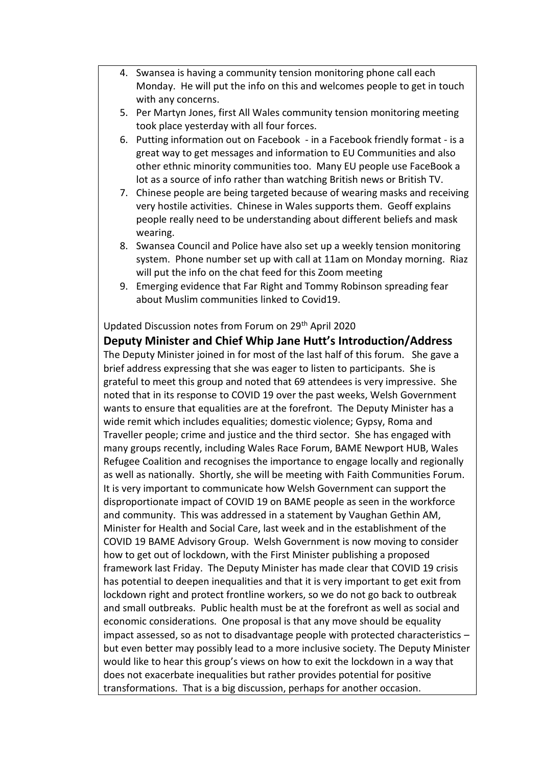- 4. Swansea is having a community tension monitoring phone call each Monday. He will put the info on this and welcomes people to get in touch with any concerns.
- 5. Per Martyn Jones, first All Wales community tension monitoring meeting took place yesterday with all four forces.
- 6. Putting information out on Facebook in a Facebook friendly format is a great way to get messages and information to EU Communities and also other ethnic minority communities too. Many EU people use FaceBook a lot as a source of info rather than watching British news or British TV.
- 7. Chinese people are being targeted because of wearing masks and receiving very hostile activities. Chinese in Wales supports them. Geoff explains people really need to be understanding about different beliefs and mask wearing.
- 8. Swansea Council and Police have also set up a weekly tension monitoring system. Phone number set up with call at 11am on Monday morning. Riaz will put the info on the chat feed for this Zoom meeting
- 9. Emerging evidence that Far Right and Tommy Robinson spreading fear about Muslim communities linked to Covid19.

#### Updated Discussion notes from Forum on 29th April 2020

**Deputy Minister and Chief Whip Jane Hutt's Introduction/Address** The Deputy Minister joined in for most of the last half of this forum. She gave a brief address expressing that she was eager to listen to participants. She is grateful to meet this group and noted that 69 attendees is very impressive. She noted that in its response to COVID 19 over the past weeks, Welsh Government wants to ensure that equalities are at the forefront. The Deputy Minister has a wide remit which includes equalities; domestic violence; Gypsy, Roma and Traveller people; crime and justice and the third sector. She has engaged with many groups recently, including Wales Race Forum, BAME Newport HUB, Wales Refugee Coalition and recognises the importance to engage locally and regionally as well as nationally. Shortly, she will be meeting with Faith Communities Forum. It is very important to communicate how Welsh Government can support the disproportionate impact of COVID 19 on BAME people as seen in the workforce and community. This was addressed in a statement by Vaughan Gethin AM, Minister for Health and Social Care, last week and in the establishment of the COVID 19 BAME Advisory Group. Welsh Government is now moving to consider how to get out of lockdown, with the First Minister publishing a proposed framework last Friday. The Deputy Minister has made clear that COVID 19 crisis has potential to deepen inequalities and that it is very important to get exit from lockdown right and protect frontline workers, so we do not go back to outbreak and small outbreaks. Public health must be at the forefront as well as social and economic considerations. One proposal is that any move should be equality impact assessed, so as not to disadvantage people with protected characteristics – but even better may possibly lead to a more inclusive society. The Deputy Minister would like to hear this group's views on how to exit the lockdown in a way that does not exacerbate inequalities but rather provides potential for positive transformations. That is a big discussion, perhaps for another occasion.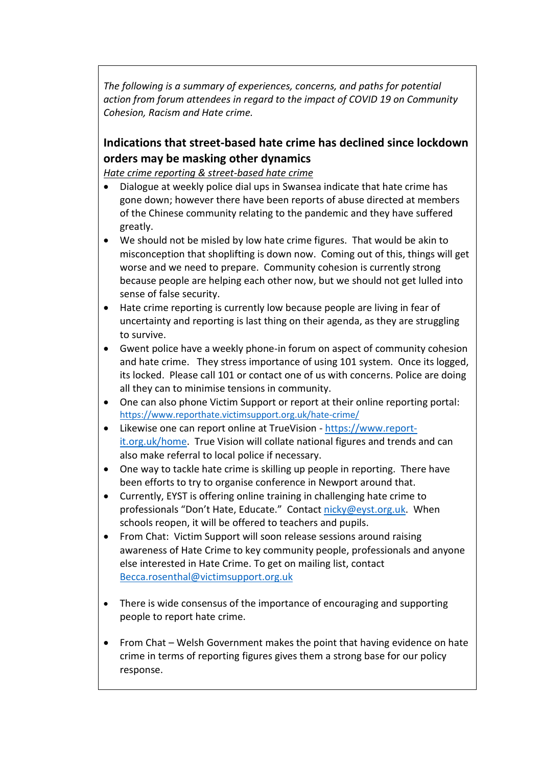*The following is a summary of experiences, concerns, and paths for potential action from forum attendees in regard to the impact of COVID 19 on Community Cohesion, Racism and Hate crime.* 

# **Indications that street-based hate crime has declined since lockdown orders may be masking other dynamics**

*Hate crime reporting & street-based hate crime*

- Dialogue at weekly police dial ups in Swansea indicate that hate crime has gone down; however there have been reports of abuse directed at members of the Chinese community relating to the pandemic and they have suffered greatly.
- We should not be misled by low hate crime figures. That would be akin to misconception that shoplifting is down now. Coming out of this, things will get worse and we need to prepare. Community cohesion is currently strong because people are helping each other now, but we should not get lulled into sense of false security.
- Hate crime reporting is currently low because people are living in fear of uncertainty and reporting is last thing on their agenda, as they are struggling to survive.
- Gwent police have a weekly phone-in forum on aspect of community cohesion and hate crime. They stress importance of using 101 system. Once its logged, its locked. Please call 101 or contact one of us with concerns. Police are doing all they can to minimise tensions in community.
- One can also phone Victim Support or report at their online reporting portal: <https://www.reporthate.victimsupport.org.uk/hate-crime/>
- Likewise one can report online at TrueVision [https://www.report](https://www.report-it.org.uk/home)[it.org.uk/home.](https://www.report-it.org.uk/home) True Vision will collate national figures and trends and can also make referral to local police if necessary.
- One way to tackle hate crime is skilling up people in reporting. There have been efforts to try to organise conference in Newport around that.
- Currently, EYST is offering online training in challenging hate crime to professionals "Don't Hate, Educate." Contact [nicky@eyst.org.uk.](mailto:nicky@eyst.org.uk) When schools reopen, it will be offered to teachers and pupils.
- From Chat: Victim Support will soon release sessions around raising awareness of Hate Crime to key community people, professionals and anyone else interested in Hate Crime. To get on mailing list, contact [Becca.rosenthal@victimsupport.org.uk](mailto:Becca.rosenthal@victimsupport.org.uk)
- There is wide consensus of the importance of encouraging and supporting people to report hate crime.
- From Chat Welsh Government makes the point that having evidence on hate crime in terms of reporting figures gives them a strong base for our policy response.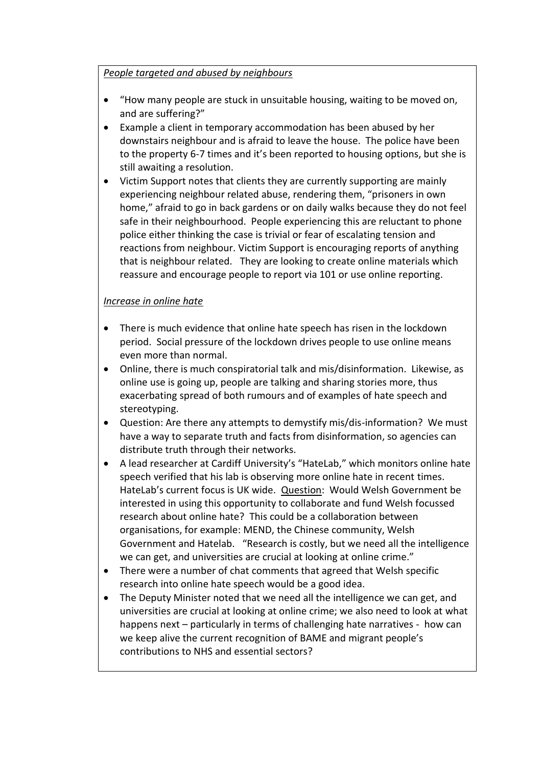#### *People targeted and abused by neighbours*

- "How many people are stuck in unsuitable housing, waiting to be moved on, and are suffering?"
- Example a client in temporary accommodation has been abused by her downstairs neighbour and is afraid to leave the house. The police have been to the property 6-7 times and it's been reported to housing options, but she is still awaiting a resolution.
- Victim Support notes that clients they are currently supporting are mainly experiencing neighbour related abuse, rendering them, "prisoners in own home," afraid to go in back gardens or on daily walks because they do not feel safe in their neighbourhood. People experiencing this are reluctant to phone police either thinking the case is trivial or fear of escalating tension and reactions from neighbour. Victim Support is encouraging reports of anything that is neighbour related. They are looking to create online materials which reassure and encourage people to report via 101 or use online reporting.

### *Increase in online hate*

- There is much evidence that online hate speech has risen in the lockdown period. Social pressure of the lockdown drives people to use online means even more than normal.
- Online, there is much conspiratorial talk and mis/disinformation. Likewise, as online use is going up, people are talking and sharing stories more, thus exacerbating spread of both rumours and of examples of hate speech and stereotyping.
- Question: Are there any attempts to demystify mis/dis-information? We must have a way to separate truth and facts from disinformation, so agencies can distribute truth through their networks.
- A lead researcher at Cardiff University's "HateLab," which monitors online hate speech verified that his lab is observing more online hate in recent times. HateLab's current focus is UK wide. Question: Would Welsh Government be interested in using this opportunity to collaborate and fund Welsh focussed research about online hate? This could be a collaboration between organisations, for example: MEND, the Chinese community, Welsh Government and Hatelab. "Research is costly, but we need all the intelligence we can get, and universities are crucial at looking at online crime."
- There were a number of chat comments that agreed that Welsh specific research into online hate speech would be a good idea.
- The Deputy Minister noted that we need all the intelligence we can get, and universities are crucial at looking at online crime; we also need to look at what happens next – particularly in terms of challenging hate narratives - how can we keep alive the current recognition of BAME and migrant people's contributions to NHS and essential sectors?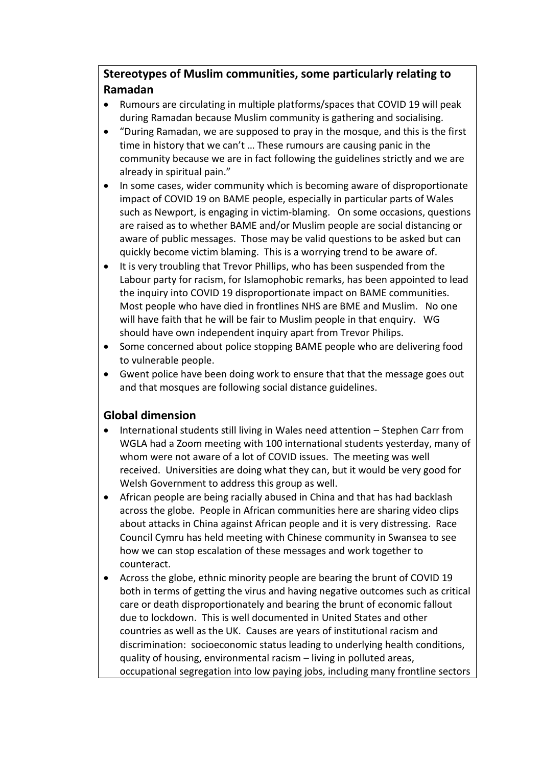## **Stereotypes of Muslim communities, some particularly relating to Ramadan**

- Rumours are circulating in multiple platforms/spaces that COVID 19 will peak during Ramadan because Muslim community is gathering and socialising.
- "During Ramadan, we are supposed to pray in the mosque, and this is the first time in history that we can't … These rumours are causing panic in the community because we are in fact following the guidelines strictly and we are already in spiritual pain."
- In some cases, wider community which is becoming aware of disproportionate impact of COVID 19 on BAME people, especially in particular parts of Wales such as Newport, is engaging in victim-blaming. On some occasions, questions are raised as to whether BAME and/or Muslim people are social distancing or aware of public messages. Those may be valid questions to be asked but can quickly become victim blaming. This is a worrying trend to be aware of.
- It is very troubling that Trevor Phillips, who has been suspended from the Labour party for racism, for Islamophobic remarks, has been appointed to lead the inquiry into COVID 19 disproportionate impact on BAME communities. Most people who have died in frontlines NHS are BME and Muslim. No one will have faith that he will be fair to Muslim people in that enquiry. WG should have own independent inquiry apart from Trevor Philips.
- Some concerned about police stopping BAME people who are delivering food to vulnerable people.
- Gwent police have been doing work to ensure that that the message goes out and that mosques are following social distance guidelines.

### **Global dimension**

- International students still living in Wales need attention Stephen Carr from WGLA had a Zoom meeting with 100 international students yesterday, many of whom were not aware of a lot of COVID issues. The meeting was well received. Universities are doing what they can, but it would be very good for Welsh Government to address this group as well.
- African people are being racially abused in China and that has had backlash across the globe. People in African communities here are sharing video clips about attacks in China against African people and it is very distressing. Race Council Cymru has held meeting with Chinese community in Swansea to see how we can stop escalation of these messages and work together to counteract.
- Across the globe, ethnic minority people are bearing the brunt of COVID 19 both in terms of getting the virus and having negative outcomes such as critical care or death disproportionately and bearing the brunt of economic fallout due to lockdown. This is well documented in United States and other countries as well as the UK. Causes are years of institutional racism and discrimination: socioeconomic status leading to underlying health conditions, quality of housing, environmental racism – living in polluted areas, occupational segregation into low paying jobs, including many frontline sectors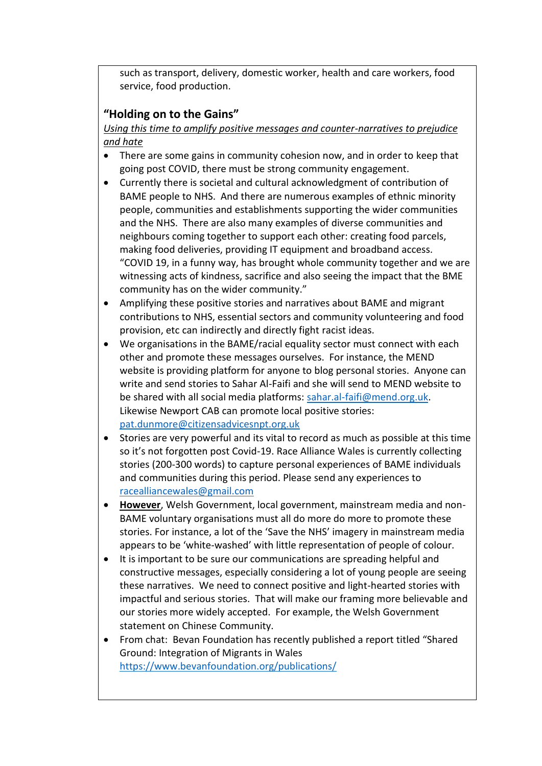such as transport, delivery, domestic worker, health and care workers, food service, food production.

## **"Holding on to the Gains"**

*Using this time to amplify positive messages and counter-narratives to prejudice and hate*

- There are some gains in community cohesion now, and in order to keep that going post COVID, there must be strong community engagement.
- Currently there is societal and cultural acknowledgment of contribution of BAME people to NHS. And there are numerous examples of ethnic minority people, communities and establishments supporting the wider communities and the NHS. There are also many examples of diverse communities and neighbours coming together to support each other: creating food parcels, making food deliveries, providing IT equipment and broadband access. "COVID 19, in a funny way, has brought whole community together and we are witnessing acts of kindness, sacrifice and also seeing the impact that the BME community has on the wider community."
- Amplifying these positive stories and narratives about BAME and migrant contributions to NHS, essential sectors and community volunteering and food provision, etc can indirectly and directly fight racist ideas.
- We organisations in the BAME/racial equality sector must connect with each other and promote these messages ourselves. For instance, the MEND website is providing platform for anyone to blog personal stories. Anyone can write and send stories to Sahar Al-Faifi and she will send to MEND website to be shared with all social media platforms: [sahar.al-faifi@mend.org.uk.](mailto:sahar.al-faifi@mend.org.uk) Likewise Newport CAB can promote local positive stories: [pat.dunmore@citizensadvicesnpt.org.uk](mailto:pat.dunmore@citizensadvicesnpt.org.uk)
- Stories are very powerful and its vital to record as much as possible at this time so it's not forgotten post Covid-19. Race Alliance Wales is currently collecting stories (200-300 words) to capture personal experiences of BAME individuals and communities during this period. Please send any experiences to [racealliancewales@gmail.com](mailto:racealliancewales@gmail.com)
- **However**, Welsh Government, local government, mainstream media and non-BAME voluntary organisations must all do more do more to promote these stories. For instance, a lot of the 'Save the NHS' imagery in mainstream media appears to be 'white-washed' with little representation of people of colour.
- It is important to be sure our communications are spreading helpful and constructive messages, especially considering a lot of young people are seeing these narratives. We need to connect positive and light-hearted stories with impactful and serious stories. That will make our framing more believable and our stories more widely accepted. For example, the Welsh Government statement on Chinese Community.
- From chat: Bevan Foundation has recently published a report titled "Shared Ground: Integration of Migrants in Wales <https://www.bevanfoundation.org/publications/>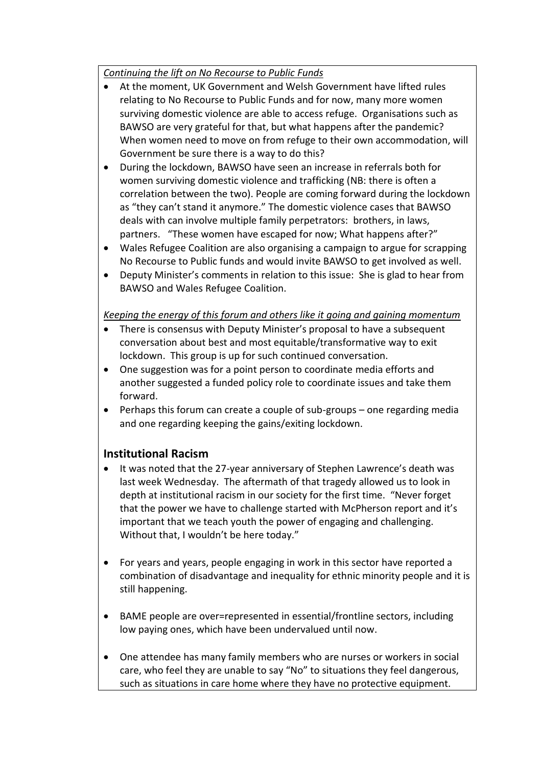### *Continuing the lift on No Recourse to Public Funds*

- At the moment, UK Government and Welsh Government have lifted rules relating to No Recourse to Public Funds and for now, many more women surviving domestic violence are able to access refuge. Organisations such as BAWSO are very grateful for that, but what happens after the pandemic? When women need to move on from refuge to their own accommodation, will Government be sure there is a way to do this?
- During the lockdown, BAWSO have seen an increase in referrals both for women surviving domestic violence and trafficking (NB: there is often a correlation between the two). People are coming forward during the lockdown as "they can't stand it anymore." The domestic violence cases that BAWSO deals with can involve multiple family perpetrators: brothers, in laws, partners. "These women have escaped for now; What happens after?"
- Wales Refugee Coalition are also organising a campaign to argue for scrapping No Recourse to Public funds and would invite BAWSO to get involved as well.
- Deputy Minister's comments in relation to this issue: She is glad to hear from BAWSO and Wales Refugee Coalition.

### *Keeping the energy of this forum and others like it going and gaining momentum*

- There is consensus with Deputy Minister's proposal to have a subsequent conversation about best and most equitable/transformative way to exit lockdown. This group is up for such continued conversation.
- One suggestion was for a point person to coordinate media efforts and another suggested a funded policy role to coordinate issues and take them forward.
- Perhaps this forum can create a couple of sub-groups one regarding media and one regarding keeping the gains/exiting lockdown.

### **Institutional Racism**

- It was noted that the 27-year anniversary of Stephen Lawrence's death was last week Wednesday. The aftermath of that tragedy allowed us to look in depth at institutional racism in our society for the first time. "Never forget that the power we have to challenge started with McPherson report and it's important that we teach youth the power of engaging and challenging. Without that, I wouldn't be here today."
- For years and years, people engaging in work in this sector have reported a combination of disadvantage and inequality for ethnic minority people and it is still happening.
- BAME people are over=represented in essential/frontline sectors, including low paying ones, which have been undervalued until now.
- One attendee has many family members who are nurses or workers in social care, who feel they are unable to say "No" to situations they feel dangerous, such as situations in care home where they have no protective equipment.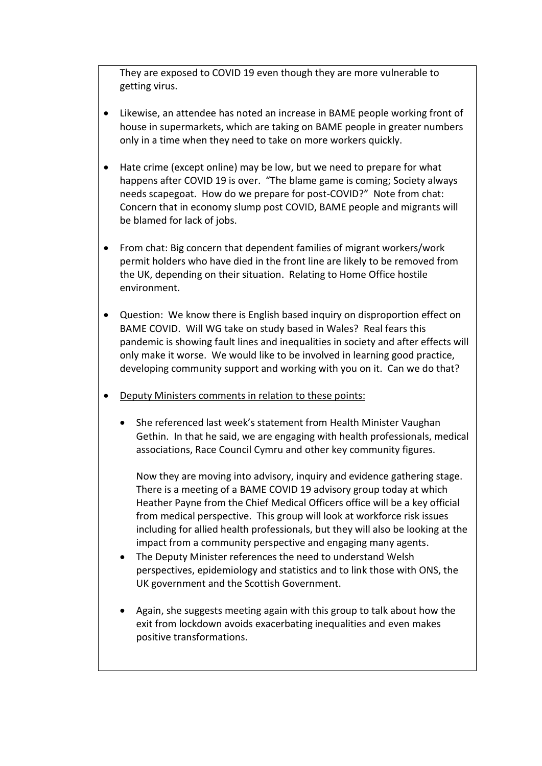They are exposed to COVID 19 even though they are more vulnerable to getting virus.

- Likewise, an attendee has noted an increase in BAME people working front of house in supermarkets, which are taking on BAME people in greater numbers only in a time when they need to take on more workers quickly.
- Hate crime (except online) may be low, but we need to prepare for what happens after COVID 19 is over. "The blame game is coming; Society always needs scapegoat. How do we prepare for post-COVID?" Note from chat: Concern that in economy slump post COVID, BAME people and migrants will be blamed for lack of jobs.
- From chat: Big concern that dependent families of migrant workers/work permit holders who have died in the front line are likely to be removed from the UK, depending on their situation. Relating to Home Office hostile environment.
- Question: We know there is English based inquiry on disproportion effect on BAME COVID. Will WG take on study based in Wales? Real fears this pandemic is showing fault lines and inequalities in society and after effects will only make it worse. We would like to be involved in learning good practice, developing community support and working with you on it. Can we do that?
- Deputy Ministers comments in relation to these points:
	- She referenced last week's statement from Health Minister Vaughan Gethin. In that he said, we are engaging with health professionals, medical associations, Race Council Cymru and other key community figures.

Now they are moving into advisory, inquiry and evidence gathering stage. There is a meeting of a BAME COVID 19 advisory group today at which Heather Payne from the Chief Medical Officers office will be a key official from medical perspective. This group will look at workforce risk issues including for allied health professionals, but they will also be looking at the impact from a community perspective and engaging many agents.

- The Deputy Minister references the need to understand Welsh perspectives, epidemiology and statistics and to link those with ONS, the UK government and the Scottish Government.
- Again, she suggests meeting again with this group to talk about how the exit from lockdown avoids exacerbating inequalities and even makes positive transformations.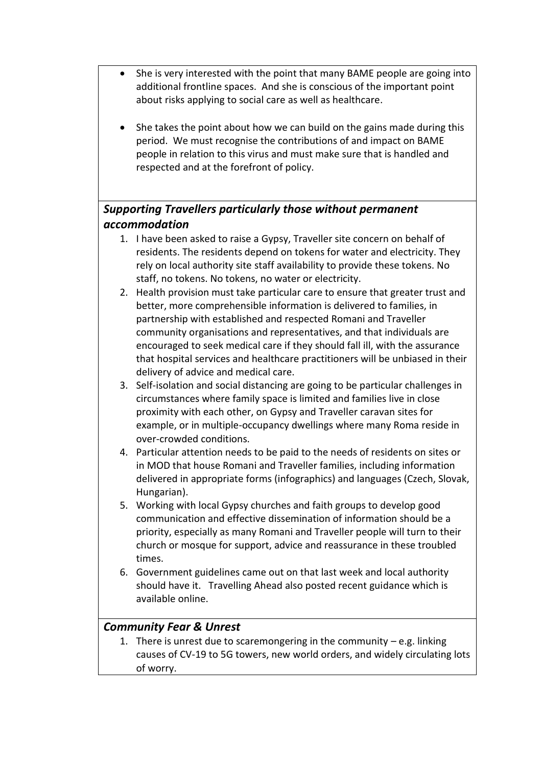- She is very interested with the point that many BAME people are going into additional frontline spaces. And she is conscious of the important point about risks applying to social care as well as healthcare.
- She takes the point about how we can build on the gains made during this period. We must recognise the contributions of and impact on BAME people in relation to this virus and must make sure that is handled and respected and at the forefront of policy.

# *Supporting Travellers particularly those without permanent accommodation*

- 1. I have been asked to raise a Gypsy, Traveller site concern on behalf of residents. The residents depend on tokens for water and electricity. They rely on local authority site staff availability to provide these tokens. No staff, no tokens. No tokens, no water or electricity.
- 2. Health provision must take particular care to ensure that greater trust and better, more comprehensible information is delivered to families, in partnership with established and respected Romani and Traveller community organisations and representatives, and that individuals are encouraged to seek medical care if they should fall ill, with the assurance that hospital services and healthcare practitioners will be unbiased in their delivery of advice and medical care.
- 3. Self-isolation and social distancing are going to be particular challenges in circumstances where family space is limited and families live in close proximity with each other, on Gypsy and Traveller caravan sites for example, or in multiple-occupancy dwellings where many Roma reside in over-crowded conditions.
- 4. Particular attention needs to be paid to the needs of residents on sites or in MOD that house Romani and Traveller families, including information delivered in appropriate forms (infographics) and languages (Czech, Slovak, Hungarian).
- 5. Working with local Gypsy churches and faith groups to develop good communication and effective dissemination of information should be a priority, especially as many Romani and Traveller people will turn to their church or mosque for support, advice and reassurance in these troubled times.
- 6. Government guidelines came out on that last week and local authority should have it. Travelling Ahead also posted recent guidance which is available online.

### *Community Fear & Unrest*

1. There is unrest due to scaremongering in the community  $-e.g.$  linking causes of CV-19 to 5G towers, new world orders, and widely circulating lots of worry.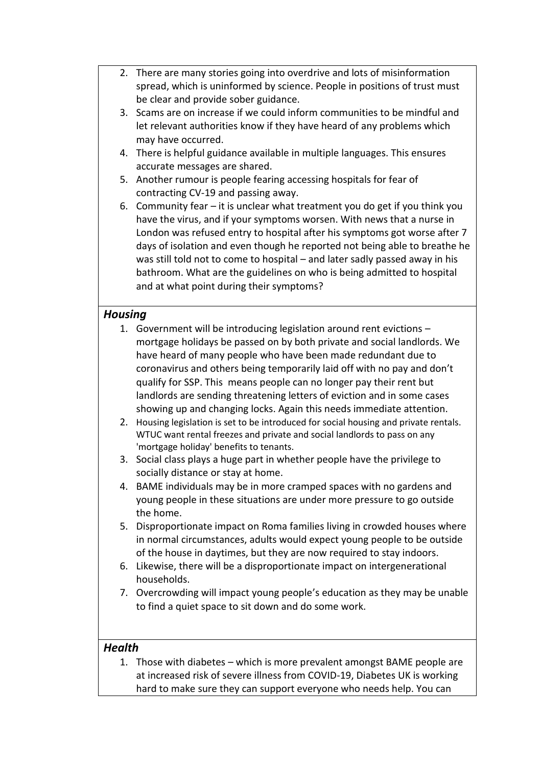- 2. There are many stories going into overdrive and lots of misinformation spread, which is uninformed by science. People in positions of trust must be clear and provide sober guidance.
- 3. Scams are on increase if we could inform communities to be mindful and let relevant authorities know if they have heard of any problems which may have occurred.
- 4. There is helpful guidance available in multiple languages. This ensures accurate messages are shared.
- 5. Another rumour is people fearing accessing hospitals for fear of contracting CV-19 and passing away.
- 6. Community fear it is unclear what treatment you do get if you think you have the virus, and if your symptoms worsen. With news that a nurse in London was refused entry to hospital after his symptoms got worse after 7 days of isolation and even though he reported not being able to breathe he was still told not to come to hospital – and later sadly passed away in his bathroom. What are the guidelines on who is being admitted to hospital and at what point during their symptoms?

### *Housing*

- 1. Government will be introducing legislation around rent evictions mortgage holidays be passed on by both private and social landlords. We have heard of many people who have been made redundant due to coronavirus and others being temporarily laid off with no pay and don't qualify for SSP. This means people can no longer pay their rent but landlords are sending threatening letters of eviction and in some cases showing up and changing locks. Again this needs immediate attention.
- 2. Housing legislation is set to be introduced for social housing and private rentals. WTUC want rental freezes and private and social landlords to pass on any 'mortgage holiday' benefits to tenants.
- 3. Social class plays a huge part in whether people have the privilege to socially distance or stay at home.
- 4. BAME individuals may be in more cramped spaces with no gardens and young people in these situations are under more pressure to go outside the home.
- 5. Disproportionate impact on Roma families living in crowded houses where in normal circumstances, adults would expect young people to be outside of the house in daytimes, but they are now required to stay indoors.
- 6. Likewise, there will be a disproportionate impact on intergenerational households.
- 7. Overcrowding will impact young people's education as they may be unable to find a quiet space to sit down and do some work.

### *Health*

1. Those with diabetes – which is more prevalent amongst BAME people are at increased risk of severe illness from COVID-19, Diabetes UK is working hard to make sure they can support everyone who needs help. You can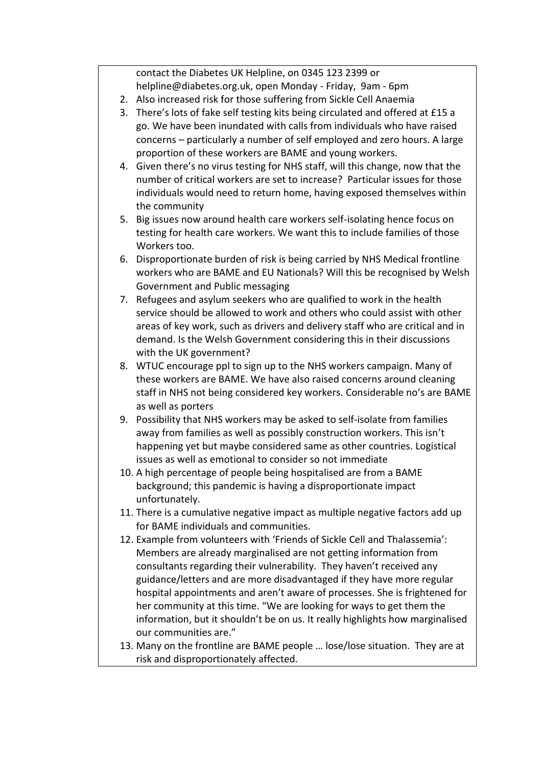contact the Diabetes UK Helpline, on 0345 123 2399 or helpline@diabetes.org.uk, open Monday - Friday, 9am - 6pm

- 2. Also increased risk for those suffering from Sickle Cell Anaemia
- 3. There's lots of fake self testing kits being circulated and offered at £15 a go. We have been inundated with calls from individuals who have raised concerns – particularly a number of self employed and zero hours. A large proportion of these workers are BAME and young workers.
- 4. Given there's no virus testing for NHS staff, will this change, now that the number of critical workers are set to increase? Particular issues for those individuals would need to return home, having exposed themselves within the community
- 5. Big issues now around health care workers self-isolating hence focus on testing for health care workers. We want this to include families of those Workers too.
- 6. Disproportionate burden of risk is being carried by NHS Medical frontline workers who are BAME and EU Nationals? Will this be recognised by Welsh Government and Public messaging
- 7. Refugees and asylum seekers who are qualified to work in the health service should be allowed to work and others who could assist with other areas of key work, such as drivers and delivery staff who are critical and in demand. Is the Welsh Government considering this in their discussions with the UK government?
- 8. WTUC encourage ppl to sign up to the NHS workers campaign. Many of these workers are BAME. We have also raised concerns around cleaning staff in NHS not being considered key workers. Considerable no's are BAME as well as porters
- 9. Possibility that NHS workers may be asked to self-isolate from families away from families as well as possibly construction workers. This isn't happening yet but maybe considered same as other countries. Logistical issues as well as emotional to consider so not immediate
- 10. A high percentage of people being hospitalised are from a BAME background; this pandemic is having a disproportionate impact unfortunately.
- 11. There is a cumulative negative impact as multiple negative factors add up for BAME individuals and communities.
- 12. Example from volunteers with 'Friends of Sickle Cell and Thalassemia': Members are already marginalised are not getting information from consultants regarding their vulnerability. They haven't received any guidance/letters and are more disadvantaged if they have more regular hospital appointments and aren't aware of processes. She is frightened for her community at this time. "We are looking for ways to get them the information, but it shouldn't be on us. It really highlights how marginalised our communities are."
- 13. Many on the frontline are BAME people … lose/lose situation. They are at risk and disproportionately affected.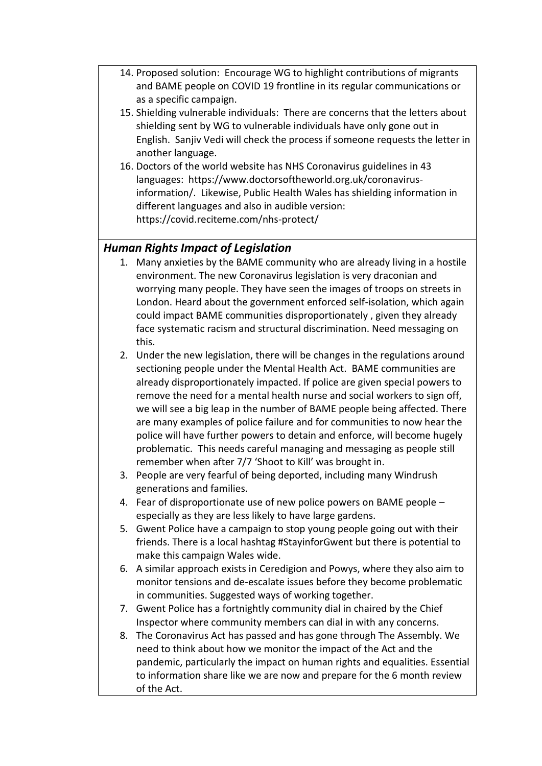- 14. Proposed solution: Encourage WG to highlight contributions of migrants and BAME people on COVID 19 frontline in its regular communications or as a specific campaign.
- 15. Shielding vulnerable individuals: There are concerns that the letters about shielding sent by WG to vulnerable individuals have only gone out in English. Sanjiv Vedi will check the process if someone requests the letter in another language.
- 16. Doctors of the world website has NHS Coronavirus guidelines in 43 languages: https://www.doctorsoftheworld.org.uk/coronavirusinformation/. Likewise, Public Health Wales has shielding information in different languages and also in audible version: https://covid.reciteme.com/nhs-protect/

### *Human Rights Impact of Legislation*

- 1. Many anxieties by the BAME community who are already living in a hostile environment. The new Coronavirus legislation is very draconian and worrying many people. They have seen the images of troops on streets in London. Heard about the government enforced self-isolation, which again could impact BAME communities disproportionately , given they already face systematic racism and structural discrimination. Need messaging on this.
- 2. Under the new legislation, there will be changes in the regulations around sectioning people under the Mental Health Act. BAME communities are already disproportionately impacted. If police are given special powers to remove the need for a mental health nurse and social workers to sign off, we will see a big leap in the number of BAME people being affected. There are many examples of police failure and for communities to now hear the police will have further powers to detain and enforce, will become hugely problematic. This needs careful managing and messaging as people still remember when after 7/7 'Shoot to Kill' was brought in.
- 3. People are very fearful of being deported, including many Windrush generations and families.
- 4. Fear of disproportionate use of new police powers on BAME people especially as they are less likely to have large gardens.
- 5. Gwent Police have a campaign to stop young people going out with their friends. There is a local hashtag #StayinforGwent but there is potential to make this campaign Wales wide.
- 6. A similar approach exists in Ceredigion and Powys, where they also aim to monitor tensions and de-escalate issues before they become problematic in communities. Suggested ways of working together.
- 7. Gwent Police has a fortnightly community dial in chaired by the Chief Inspector where community members can dial in with any concerns.
- 8. The Coronavirus Act has passed and has gone through The Assembly. We need to think about how we monitor the impact of the Act and the pandemic, particularly the impact on human rights and equalities. Essential to information share like we are now and prepare for the 6 month review of the Act.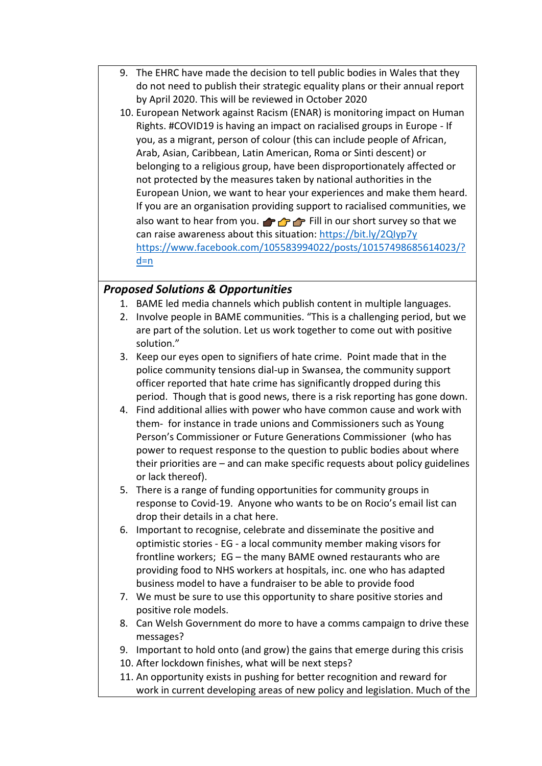- 9. The EHRC have made the decision to tell public bodies in Wales that they do not need to publish their strategic equality plans or their annual report by April 2020. This will be reviewed in October 2020
- 10. European Network against Racism (ENAR) is monitoring impact on Human Rights. #COVID19 is having an impact on racialised groups in Europe - If you, as a migrant, person of colour (this can include people of African, Arab, Asian, Caribbean, Latin American, Roma or Sinti descent) or belonging to a religious group, have been disproportionately affected or not protected by the measures taken by national authorities in the European Union, we want to hear your experiences and make them heard. If you are an organisation providing support to racialised communities, we also want to hear from you.  $\rightarrow$   $\rightarrow$  Fill in our short survey so that we can raise awareness about this situation:<https://bit.ly/2QIyp7y> [https://www.facebook.com/105583994022/posts/10157498685614023/?](https://www.facebook.com/105583994022/posts/10157498685614023/?d=n)  $d=n$

### *Proposed Solutions & Opportunities*

- 1. BAME led media channels which publish content in multiple languages.
- 2. Involve people in BAME communities. "This is a challenging period, but we are part of the solution. Let us work together to come out with positive solution."
- 3. Keep our eyes open to signifiers of hate crime. Point made that in the police community tensions dial-up in Swansea, the community support officer reported that hate crime has significantly dropped during this period. Though that is good news, there is a risk reporting has gone down.
- 4. Find additional allies with power who have common cause and work with them- for instance in trade unions and Commissioners such as Young Person's Commissioner or Future Generations Commissioner (who has power to request response to the question to public bodies about where their priorities are – and can make specific requests about policy guidelines or lack thereof).
- 5. There is a range of funding opportunities for community groups in response to Covid-19. Anyone who wants to be on Rocio's email list can drop their details in a chat here.
- 6. Important to recognise, celebrate and disseminate the positive and optimistic stories - EG - a local community member making visors for frontline workers; EG – the many BAME owned restaurants who are providing food to NHS workers at hospitals, inc. one who has adapted business model to have a fundraiser to be able to provide food
- 7. We must be sure to use this opportunity to share positive stories and positive role models.
- 8. Can Welsh Government do more to have a comms campaign to drive these messages?
- 9. Important to hold onto (and grow) the gains that emerge during this crisis
- 10. After lockdown finishes, what will be next steps?
- 11. An opportunity exists in pushing for better recognition and reward for work in current developing areas of new policy and legislation. Much of the